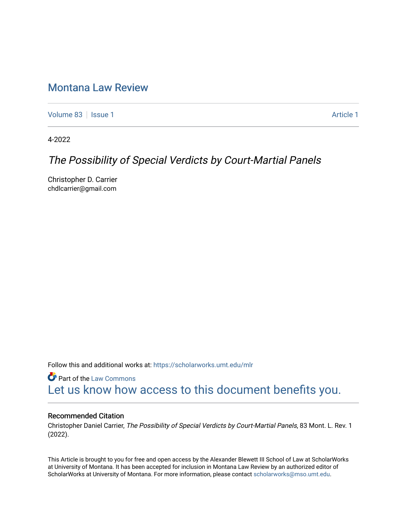# [Montana Law Review](https://scholarworks.umt.edu/mlr)

[Volume 83](https://scholarworks.umt.edu/mlr/vol83) | [Issue 1](https://scholarworks.umt.edu/mlr/vol83/iss1) Article 1

4-2022

# The Possibility of Special Verdicts by Court-Martial Panels

Christopher D. Carrier chdlcarrier@gmail.com

Follow this and additional works at: [https://scholarworks.umt.edu/mlr](https://scholarworks.umt.edu/mlr?utm_source=scholarworks.umt.edu%2Fmlr%2Fvol83%2Fiss1%2F1&utm_medium=PDF&utm_campaign=PDFCoverPages) 

**Part of the [Law Commons](http://network.bepress.com/hgg/discipline/578?utm_source=scholarworks.umt.edu%2Fmlr%2Fvol83%2Fiss1%2F1&utm_medium=PDF&utm_campaign=PDFCoverPages)** [Let us know how access to this document benefits you.](https://goo.gl/forms/s2rGfXOLzz71qgsB2) 

# Recommended Citation

Christopher Daniel Carrier, The Possibility of Special Verdicts by Court-Martial Panels, 83 Mont. L. Rev. 1 (2022).

This Article is brought to you for free and open access by the Alexander Blewett III School of Law at ScholarWorks at University of Montana. It has been accepted for inclusion in Montana Law Review by an authorized editor of ScholarWorks at University of Montana. For more information, please contact [scholarworks@mso.umt.edu.](mailto:scholarworks@mso.umt.edu)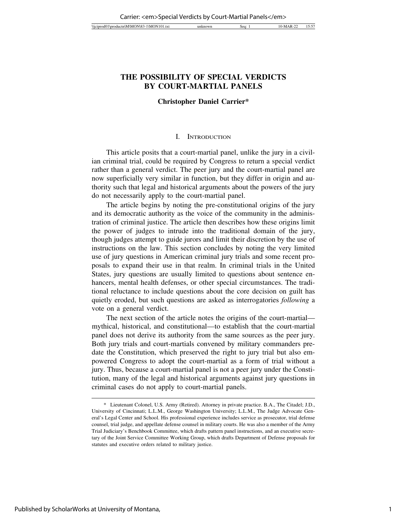# **THE POSSIBILITY OF SPECIAL VERDICTS BY COURT-MARTIAL PANELS**

## **Christopher Daniel Carrier\***

#### I. INTRODUCTION

This article posits that a court-martial panel, unlike the jury in a civilian criminal trial, could be required by Congress to return a special verdict rather than a general verdict. The peer jury and the court-martial panel are now superficially very similar in function, but they differ in origin and authority such that legal and historical arguments about the powers of the jury do not necessarily apply to the court-martial panel.

The article begins by noting the pre-constitutional origins of the jury and its democratic authority as the voice of the community in the administration of criminal justice. The article then describes how these origins limit the power of judges to intrude into the traditional domain of the jury, though judges attempt to guide jurors and limit their discretion by the use of instructions on the law. This section concludes by noting the very limited use of jury questions in American criminal jury trials and some recent proposals to expand their use in that realm. In criminal trials in the United States, jury questions are usually limited to questions about sentence enhancers, mental health defenses, or other special circumstances. The traditional reluctance to include questions about the core decision on guilt has quietly eroded, but such questions are asked as interrogatories *following* a vote on a general verdict.

The next section of the article notes the origins of the court-martial mythical, historical, and constitutional—to establish that the court-martial panel does not derive its authority from the same sources as the peer jury. Both jury trials and court-martials convened by military commanders predate the Constitution, which preserved the right to jury trial but also empowered Congress to adopt the court-martial as a form of trial without a jury. Thus, because a court-martial panel is not a peer jury under the Constitution, many of the legal and historical arguments against jury questions in criminal cases do not apply to court-martial panels.

<sup>\*</sup> Lieutenant Colonel, U.S. Army (Retired). Attorney in private practice. B.A., The Citadel; J.D., University of Cincinnati; L.L.M., George Washington University; L.L.M., The Judge Advocate General's Legal Center and School. His professional experience includes service as prosecutor, trial defense counsel, trial judge, and appellate defense counsel in military courts. He was also a member of the Army Trial Judiciary's Benchbook Committee, which drafts pattern panel instructions, and an executive secretary of the Joint Service Committee Working Group, which drafts Department of Defense proposals for statutes and executive orders related to military justice.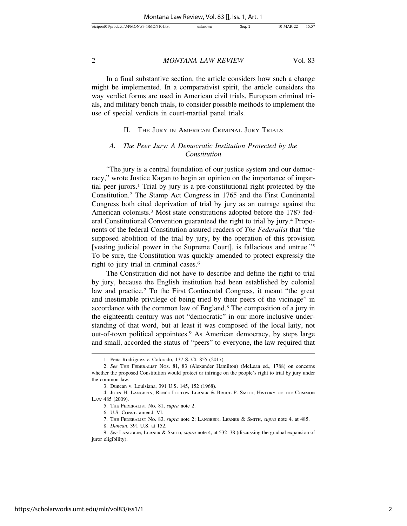In a final substantive section, the article considers how such a change might be implemented. In a comparativist spirit, the article considers the way verdict forms are used in American civil trials, European criminal trials, and military bench trials, to consider possible methods to implement the use of special verdicts in court-martial panel trials.

II. THE JURY IN AMERICAN CRIMINAL JURY TRIALS

# *A. The Peer Jury: A Democratic Institution Protected by the Constitution*

"The jury is a central foundation of our justice system and our democracy," wrote Justice Kagan to begin an opinion on the importance of impartial peer jurors.1 Trial by jury is a pre-constitutional right protected by the Constitution.2 The Stamp Act Congress in 1765 and the First Continental Congress both cited deprivation of trial by jury as an outrage against the American colonists.3 Most state constitutions adopted before the 1787 federal Constitutional Convention guaranteed the right to trial by jury.4 Proponents of the federal Constitution assured readers of *The Federalist* that "the supposed abolition of the trial by jury, by the operation of this provision [vesting judicial power in the Supreme Court], is fallacious and untrue."5 To be sure, the Constitution was quickly amended to protect expressly the right to jury trial in criminal cases.<sup>6</sup>

The Constitution did not have to describe and define the right to trial by jury, because the English institution had been established by colonial law and practice.7 To the First Continental Congress, it meant "the great and inestimable privilege of being tried by their peers of the vicinage" in accordance with the common law of England.8 The composition of a jury in the eighteenth century was not "democratic" in our more inclusive understanding of that word, but at least it was composed of the local laity, not out-of-town political appointees.9 As American democracy, by steps large and small, accorded the status of "peers" to everyone, the law required that

<sup>1.</sup> Pe˜na-Rodriguez v. Colorado, 137 S. Ct. 855 (2017).

<sup>2.</sup> *See* THE FEDERALIST NOS. 81, 83 (Alexander Hamilton) (McLean ed., 1788) on concerns whether the proposed Constitution would protect or infringe on the people's right to trial by jury under the common law.

<sup>3.</sup> Duncan v. Louisiana, 391 U.S. 145, 152 (1968).

<sup>4.</sup> JOHN H. LANGBEIN, RENÉE LETTOW LERNER & BRUCE P. SMITH, HISTORY OF THE COMMON LAW 485 (2009).

<sup>5.</sup> THE FEDERALIST NO. 81, *supra* note 2.

<sup>6.</sup> U.S. CONST. amend. VI.

<sup>7.</sup> THE FEDERALIST NO. 83, *supra* note 2; LANGBEIN, LERNER & SMITH, *supra* note 4, at 485.

<sup>8.</sup> *Duncan*, 391 U.S. at 152.

<sup>9.</sup> *See* LANGBEIN, LERNER & SMITH, *supra* note 4, at 532–38 (discussing the gradual expansion of juror eligibility).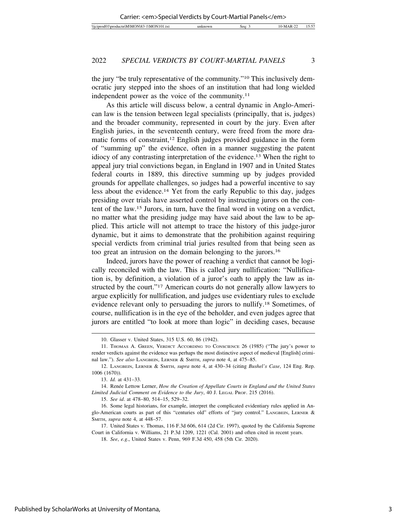the jury "be truly representative of the community."10 This inclusively democratic jury stepped into the shoes of an institution that had long wielded independent power as the voice of the community.<sup>11</sup>

As this article will discuss below, a central dynamic in Anglo-American law is the tension between legal specialists (principally, that is, judges) and the broader community, represented in court by the jury. Even after English juries, in the seventeenth century, were freed from the more dramatic forms of constraint,12 English judges provided guidance in the form of "summing up" the evidence, often in a manner suggesting the patent idiocy of any contrasting interpretation of the evidence.13 When the right to appeal jury trial convictions began, in England in 1907 and in United States federal courts in 1889, this directive summing up by judges provided grounds for appellate challenges, so judges had a powerful incentive to say less about the evidence.14 Yet from the early Republic to this day, judges presiding over trials have asserted control by instructing jurors on the content of the law.15 Jurors, in turn, have the final word in voting on a verdict, no matter what the presiding judge may have said about the law to be applied. This article will not attempt to trace the history of this judge-juror dynamic, but it aims to demonstrate that the prohibition against requiring special verdicts from criminal trial juries resulted from that being seen as too great an intrusion on the domain belonging to the jurors.16

Indeed, jurors have the power of reaching a verdict that cannot be logically reconciled with the law. This is called jury nullification: "Nullification is, by definition, a violation of a juror's oath to apply the law as instructed by the court."<sup>17</sup> American courts do not generally allow lawyers to argue explicitly for nullification, and judges use evidentiary rules to exclude evidence relevant only to persuading the jurors to nullify.18 Sometimes, of course, nullification is in the eye of the beholder, and even judges agree that jurors are entitled "to look at more than logic" in deciding cases, because

<sup>10.</sup> Glasser v. United States, 315 U.S. 60, 86 (1942).

<sup>11.</sup> THOMAS A. GREEN, VERDICT ACCORDING TO CONSCIENCE 26 (1985) ("The jury's power to render verdicts against the evidence was perhaps the most distinctive aspect of medieval [English] criminal law."). *See also* LANGBEIN, LERNER & SMITH, *supra* note 4, at 475–85.

<sup>12.</sup> LANGBEIN, LERNER & SMITH, *supra* note 4, at 430–34 (citing *Bushel's Case*, 124 Eng. Rep. 1006 (1670)).

<sup>13.</sup> *Id.* at 431–33.

<sup>14.</sup> Ren´ee Lettow Lerner, *How the Creation of Appellate Courts in England and the United States Limited Judicial Comment on Evidence to the Jury*, 40 J. LEGAL PROF. 215 (2016).

<sup>15.</sup> *See id*. at 478–80, 514–15, 529–32.

<sup>16.</sup> Some legal historians, for example, interpret the complicated evidentiary rules applied in Anglo-American courts as part of this "centuries old" efforts of "jury control." LANGBEIN, LERNER & SMITH, *supra* note 4, at 448–57.

<sup>17.</sup> United States v. Thomas, 116 F.3d 606, 614 (2d Cir. 1997), quoted by the California Supreme Court in California v. Williams, 21 P.3d 1209, 1221 (Cal. 2001) and often cited in recent years.

<sup>18.</sup> *See*, *e.g*., United States v. Penn, 969 F.3d 450, 458 (5th Cir. 2020).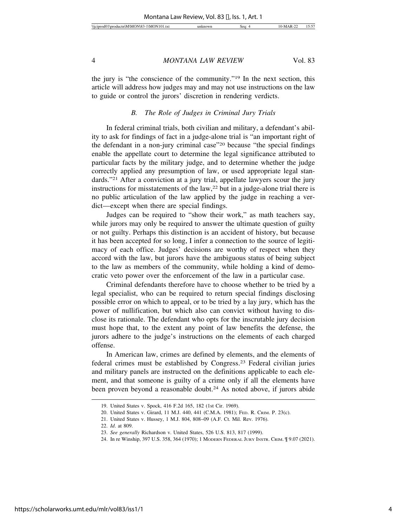the jury is "the conscience of the community."19 In the next section, this article will address how judges may and may not use instructions on the law to guide or control the jurors' discretion in rendering verdicts.

### *B. The Role of Judges in Criminal Jury Trials*

In federal criminal trials, both civilian and military, a defendant's ability to ask for findings of fact in a judge-alone trial is "an important right of the defendant in a non-jury criminal case"20 because "the special findings enable the appellate court to determine the legal significance attributed to particular facts by the military judge, and to determine whether the judge correctly applied any presumption of law, or used appropriate legal standards."21 After a conviction at a jury trial, appellate lawyers scour the jury instructions for misstatements of the law,<sup>22</sup> but in a judge-alone trial there is no public articulation of the law applied by the judge in reaching a verdict—except when there are special findings.

Judges can be required to "show their work," as math teachers say, while jurors may only be required to answer the ultimate question of guilty or not guilty. Perhaps this distinction is an accident of history, but because it has been accepted for so long, I infer a connection to the source of legitimacy of each office. Judges' decisions are worthy of respect when they accord with the law, but jurors have the ambiguous status of being subject to the law as members of the community, while holding a kind of democratic veto power over the enforcement of the law in a particular case.

Criminal defendants therefore have to choose whether to be tried by a legal specialist, who can be required to return special findings disclosing possible error on which to appeal, or to be tried by a lay jury, which has the power of nullification, but which also can convict without having to disclose its rationale. The defendant who opts for the inscrutable jury decision must hope that, to the extent any point of law benefits the defense, the jurors adhere to the judge's instructions on the elements of each charged offense.

In American law, crimes are defined by elements, and the elements of federal crimes must be established by Congress.23 Federal civilian juries and military panels are instructed on the definitions applicable to each element, and that someone is guilty of a crime only if all the elements have been proven beyond a reasonable doubt.24 As noted above, if jurors abide

<sup>19.</sup> United States v. Spock, 416 F.2d 165, 182 (1st Cir. 1969).

<sup>20.</sup> United States v. Girard, 11 M.J. 440, 441 (C.M.A. 1981); FED. R. CRIM. P. 23(c).

<sup>21.</sup> United States v. Hussey, 1 M.J. 804, 808–09 (A.F. Ct. Mil. Rev. 1976).

<sup>22.</sup> *Id*. at 809.

<sup>23.</sup> *See generally* Richardson v. United States, 526 U.S. 813, 817 (1999).

<sup>24.</sup> In re Winship, 397 U.S. 358, 364 (1970); 1 MODERN FEDERAL JURY INSTR. CRIM. ¶ 9.07 (2021).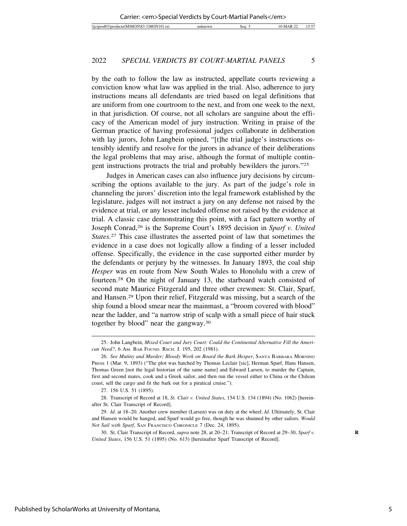by the oath to follow the law as instructed, appellate courts reviewing a conviction know what law was applied in the trial. Also, adherence to jury instructions means all defendants are tried based on legal definitions that are uniform from one courtroom to the next, and from one week to the next, in that jurisdiction. Of course, not all scholars are sanguine about the efficacy of the American model of jury instruction. Writing in praise of the German practice of having professional judges collaborate in deliberation with lay jurors, John Langbein opined, "[t]he trial judge's instructions ostensibly identify and resolve for the jurors in advance of their deliberations the legal problems that may arise, although the format of multiple contingent instructions protracts the trial and probably bewilders the jurors."25

Judges in American cases can also influence jury decisions by circumscribing the options available to the jury. As part of the judge's role in channeling the jurors' discretion into the legal framework established by the legislature, judges will not instruct a jury on any defense not raised by the evidence at trial, or any lesser included offense not raised by the evidence at trial. A classic case demonstrating this point, with a fact pattern worthy of Joseph Conrad,26 is the Supreme Court's 1895 decision in *Sparf v. United States*. 27 This case illustrates the asserted point of law that sometimes the evidence in a case does not logically allow a finding of a lesser included offense. Specifically, the evidence in the case supported either murder by the defendants or perjury by the witnesses. In January 1893, the coal ship *Hesper* was en route from New South Wales to Honolulu with a crew of fourteen.28 On the night of January 13, the starboard watch consisted of second mate Maurice Fitzgerald and three other crewmen: St. Clair, Sparf, and Hansen.29 Upon their relief, Fitzgerald was missing, but a search of the ship found a blood smear near the mainmast, a "broom covered with blood" near the ladder, and "a narrow strip of scalp with a small piece of hair stuck together by blood" near the gangway.30

<sup>25.</sup> John Langbein, *Mixed Court and Jury Court: Could the Continental Alternative Fill the American Need?*, 6 AM. BAR FOUND. RSCH. J. 195, 202 (1981).

<sup>26.</sup> *See Mutiny and Murder; Bloody Work on Board the Bark Hesper*, SANTA BARBARA MORNING PRESS 1 (Mar. 9, 1893) ("The plot was hatched by Thomas Leclair [sic], Herman Sparf, Hans Hansen, Thomas Green [not the legal historian of the same name] and Edward Larsen, to murder the Captain, first and second mates, cook and a Greek sailor, and then run the vessel either to China or the Chilean coast, sell the cargo and fit the bark out for a piratical cruise.").

<sup>27. 156</sup> U.S. 51 (1895).

<sup>28.</sup> Transcript of Record at 18, *St. Clair v. United States*, 154 U.S. 134 (1894) (No. 1062) [hereinafter St. Clair Transcript of Record].

<sup>29.</sup> *Id*. at 18–20. Another crew member (Larsen) was on duty at the wheel. *Id*. Ultimately, St. Clair and Hansen would be hanged, and Sparf would go free, though he was shunned by other sailors. *Would Not Sail with Sparf*, SAN FRANCISCO CHRONICLE 7 (Dec. 24, 1895).

<sup>30.</sup> St. Clair Transcript of Record, *supra* note 28, at 20–21; Transcript of Record at 29–30, *Sparf v.* **R** *United States*, 156 U.S. 51 (1895) (No. 613) [hereinafter Sparf Transcript of Record].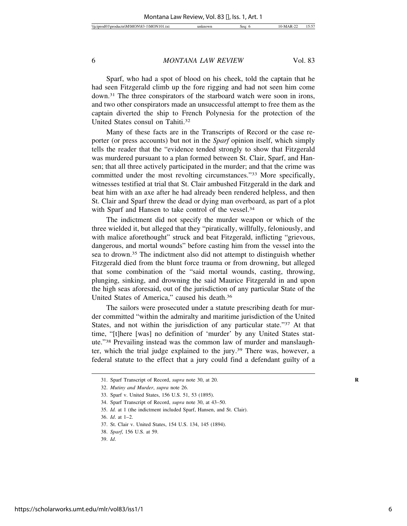Sparf, who had a spot of blood on his cheek, told the captain that he had seen Fitzgerald climb up the fore rigging and had not seen him come down.31 The three conspirators of the starboard watch were soon in irons, and two other conspirators made an unsuccessful attempt to free them as the captain diverted the ship to French Polynesia for the protection of the United States consul on Tahiti.32

Many of these facts are in the Transcripts of Record or the case reporter (or press accounts) but not in the *Sparf* opinion itself, which simply tells the reader that the "evidence tended strongly to show that Fitzgerald was murdered pursuant to a plan formed between St. Clair, Sparf, and Hansen; that all three actively participated in the murder; and that the crime was committed under the most revolting circumstances."33 More specifically, witnesses testified at trial that St. Clair ambushed Fitzgerald in the dark and beat him with an axe after he had already been rendered helpless, and then St. Clair and Sparf threw the dead or dying man overboard, as part of a plot with Sparf and Hansen to take control of the vessel.<sup>34</sup>

The indictment did not specify the murder weapon or which of the three wielded it, but alleged that they "piratically, willfully, feloniously, and with malice aforethought" struck and beat Fitzgerald, inflicting "grievous, dangerous, and mortal wounds" before casting him from the vessel into the sea to drown.35 The indictment also did not attempt to distinguish whether Fitzgerald died from the blunt force trauma or from drowning, but alleged that some combination of the "said mortal wounds, casting, throwing, plunging, sinking, and drowning the said Maurice Fitzgerald in and upon the high seas aforesaid, out of the jurisdiction of any particular State of the United States of America," caused his death.36

The sailors were prosecuted under a statute prescribing death for murder committed "within the admiralty and maritime jurisdiction of the United States, and not within the jurisdiction of any particular state."<sup>37</sup> At that time, "[t]here [was] no definition of 'murder' by any United States statute."38 Prevailing instead was the common law of murder and manslaughter, which the trial judge explained to the jury.39 There was, however, a federal statute to the effect that a jury could find a defendant guilty of a

33. Sparf v. United States, 156 U.S. 51, 53 (1895).

<sup>31.</sup> Sparf Transcript of Record, *supra* note 30, at 20. **R**

<sup>32.</sup> *Mutiny and Murder*, *supra* note 26.

<sup>34.</sup> Sparf Transcript of Record, *supra* note 30, at 43–50.

<sup>35.</sup> *Id.* at 1 (the indictment included Sparf, Hansen, and St. Clair).

<sup>36.</sup> *Id*. at 1–2.

<sup>37.</sup> St. Clair v. United States, 154 U.S. 134, 145 (1894).

<sup>38.</sup> *Sparf*, 156 U.S. at 59.

<sup>39.</sup> *Id*.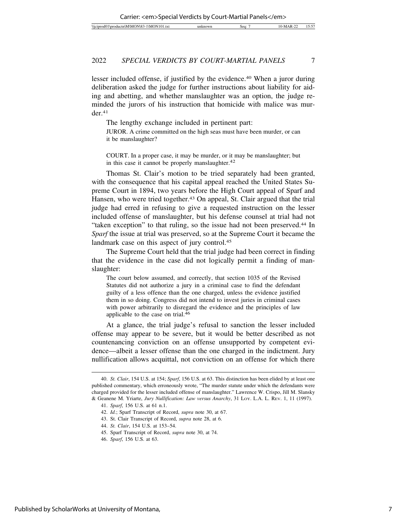lesser included offense, if justified by the evidence.40 When a juror during deliberation asked the judge for further instructions about liability for aiding and abetting, and whether manslaughter was an option, the judge reminded the jurors of his instruction that homicide with malice was murder.41

The lengthy exchange included in pertinent part: JUROR. A crime committed on the high seas must have been murder, or can it be manslaughter?

COURT. In a proper case, it may be murder, or it may be manslaughter; but in this case it cannot be properly manslaughter. $42$ 

Thomas St. Clair's motion to be tried separately had been granted, with the consequence that his capital appeal reached the United States Supreme Court in 1894, two years before the High Court appeal of Sparf and Hansen, who were tried together.<sup>43</sup> On appeal, St. Clair argued that the trial judge had erred in refusing to give a requested instruction on the lesser included offense of manslaughter, but his defense counsel at trial had not "taken exception" to that ruling, so the issue had not been preserved.44 In *Sparf* the issue at trial was preserved, so at the Supreme Court it became the landmark case on this aspect of jury control.<sup>45</sup>

The Supreme Court held that the trial judge had been correct in finding that the evidence in the case did not logically permit a finding of manslaughter:

The court below assumed, and correctly, that section 1035 of the Revised Statutes did not authorize a jury in a criminal case to find the defendant guilty of a less offence than the one charged, unless the evidence justified them in so doing. Congress did not intend to invest juries in criminal cases with power arbitrarily to disregard the evidence and the principles of law applicable to the case on trial.46

At a glance, the trial judge's refusal to sanction the lesser included offense may appear to be severe, but it would be better described as not countenancing conviction on an offense unsupported by competent evidence—albeit a lesser offense than the one charged in the indictment. Jury nullification allows acquittal, not conviction on an offense for which there

<sup>40.</sup> *St. Clair*, 154 U.S. at 154; *Sparf*, 156 U.S. at 63. This distinction has been elided by at least one published commentary, which erroneously wrote, "The murder statute under which the defendants were charged provided for the lesser included offense of manslaughter." Lawrence W. Crispo, Jill M. Slansky & Geanene M. Yriarte, *Jury Nullification: Law versus Anarchy*, 31 LOY. L.A. L. REV. 1, 11 (1997).

<sup>41.</sup> *Sparf*, 156 U.S. at 61 n.1.

<sup>42.</sup> *Id.*; Sparf Transcript of Record, *supra* note 30, at 67.

<sup>43.</sup> St. Clair Transcript of Record, *supra* note 28, at 6.

<sup>44.</sup> *St. Clair*, 154 U.S. at 153–54.

<sup>45.</sup> Sparf Transcript of Record, *supra* note 30, at 74.

<sup>46.</sup> *Sparf*, 156 U.S. at 63.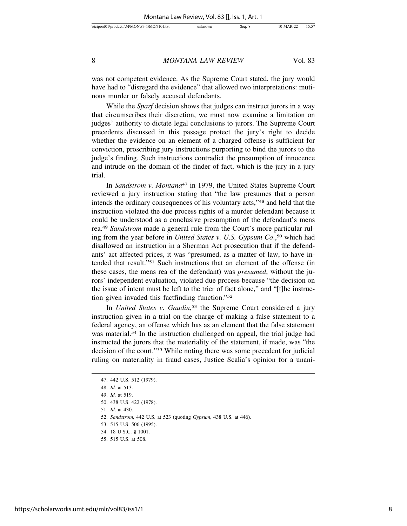was not competent evidence. As the Supreme Court stated, the jury would have had to "disregard the evidence" that allowed two interpretations: mutinous murder or falsely accused defendants.

While the *Sparf* decision shows that judges can instruct jurors in a way that circumscribes their discretion, we must now examine a limitation on judges' authority to dictate legal conclusions to jurors. The Supreme Court precedents discussed in this passage protect the jury's right to decide whether the evidence on an element of a charged offense is sufficient for conviction, proscribing jury instructions purporting to bind the jurors to the judge's finding. Such instructions contradict the presumption of innocence and intrude on the domain of the finder of fact, which is the jury in a jury trial.

In *Sandstrom v. Montana*<sup>47</sup> in 1979, the United States Supreme Court reviewed a jury instruction stating that "the law presumes that a person intends the ordinary consequences of his voluntary acts,"48 and held that the instruction violated the due process rights of a murder defendant because it could be understood as a conclusive presumption of the defendant's mens rea.49 *Sandstrom* made a general rule from the Court's more particular ruling from the year before in *United States v. U.S. Gypsum Co*.,50 which had disallowed an instruction in a Sherman Act prosecution that if the defendants' act affected prices, it was "presumed, as a matter of law, to have intended that result."51 Such instructions that an element of the offense (in these cases, the mens rea of the defendant) was *presumed*, without the jurors' independent evaluation, violated due process because "the decision on the issue of intent must be left to the trier of fact alone," and "[t]he instruction given invaded this factfinding function."52

In *United States v. Gaudin*, 53 the Supreme Court considered a jury instruction given in a trial on the charge of making a false statement to a federal agency, an offense which has as an element that the false statement was material.<sup>54</sup> In the instruction challenged on appeal, the trial judge had instructed the jurors that the materiality of the statement, if made, was "the decision of the court."55 While noting there was some precedent for judicial ruling on materiality in fraud cases, Justice Scalia's opinion for a unani-

<sup>47. 442</sup> U.S. 512 (1979).

<sup>48.</sup> *Id.* at 513.

<sup>49.</sup> *Id.* at 519.

<sup>50. 438</sup> U.S. 422 (1978).

<sup>51.</sup> *Id*. at 430.

<sup>52.</sup> *Sandstrom*, 442 U.S. at 523 (quoting *Gypsum*, 438 U.S. at 446).

<sup>53. 515</sup> U.S. 506 (1995).

<sup>54. 18</sup> U.S.C. § 1001.

<sup>55. 515</sup> U.S. at 508.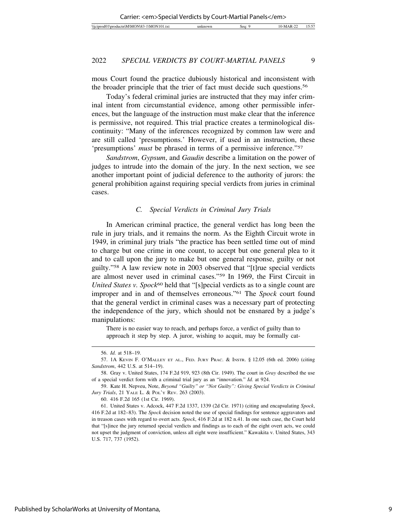mous Court found the practice dubiously historical and inconsistent with the broader principle that the trier of fact must decide such questions.56

Today's federal criminal juries are instructed that they may infer criminal intent from circumstantial evidence, among other permissible inferences, but the language of the instruction must make clear that the inference is permissive, not required. This trial practice creates a terminological discontinuity: "Many of the inferences recognized by common law were and are still called 'presumptions.' However, if used in an instruction, these 'presumptions' *must* be phrased in terms of a permissive inference."57

*Sandstrom*, *Gypsum*, and *Gaudin* describe a limitation on the power of judges to intrude into the domain of the jury. In the next section, we see another important point of judicial deference to the authority of jurors: the general prohibition against requiring special verdicts from juries in criminal cases.

# *C. Special Verdicts in Criminal Jury Trials*

In American criminal practice, the general verdict has long been the rule in jury trials, and it remains the norm. As the Eighth Circuit wrote in 1949, in criminal jury trials "the practice has been settled time out of mind to charge but one crime in one count, to accept but one general plea to it and to call upon the jury to make but one general response, guilty or not guilty."58 A law review note in 2003 observed that "[t]rue special verdicts are almost never used in criminal cases."59 In 1969, the First Circuit in *United States v. Spock*<sup>60</sup> held that "[s]pecial verdicts as to a single count are improper and in and of themselves erroneous."61 The *Spock* court found that the general verdict in criminal cases was a necessary part of protecting the independence of the jury, which should not be ensnared by a judge's manipulations:

There is no easier way to reach, and perhaps force, a verdict of guilty than to approach it step by step. A juror, wishing to acquit, may be formally cat-

<sup>56.</sup> *Id.* at 518–19.

<sup>57. 1</sup>A KEVIN F. O'MALLEY ET AL., FED. JURY PRAC. & INSTR. § 12.05 (6th ed. 2006) (citing *Sandstrom*, 442 U.S. at 514–19).

<sup>58.</sup> Gray v. United States, 174 F.2d 919, 923 (8th Cir. 1949). The court in *Gray* described the use of a special verdict form with a criminal trial jury as an "innovation." *Id.* at 924.

<sup>59.</sup> Kate H. Nepveu, Note, *Beyond "Guilty" or "Not Guilty": Giving Special Verdicts in Criminal Jury Trials*, 21 YALE L. & POL'Y REV. 263 (2003).

<sup>60. 416</sup> F.2d 165 (1st Cir. 1969).

<sup>61.</sup> United States v. Adcock, 447 F.2d 1337, 1339 (2d Cir. 1971) (citing and encapsulating *Spock*, 416 F.2d at 182–83). The *Spock* decision noted the use of special findings for sentence aggravators and in treason cases with regard to overt acts. *Spock*, 416 F.2d at 182 n.41. In one such case, the Court held that "[s]ince the jury returned special verdicts and findings as to each of the eight overt acts, we could not upset the judgment of conviction, unless all eight were insufficient." Kawakita v. United States, 343 U.S. 717, 737 (1952).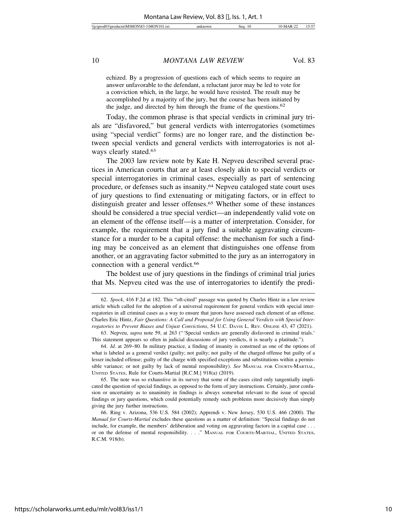echized. By a progression of questions each of which seems to require an answer unfavorable to the defendant, a reluctant juror may be led to vote for a conviction which, in the large, he would have resisted. The result may be accomplished by a majority of the jury, but the course has been initiated by the judge, and directed by him through the frame of the questions.<sup>62</sup>

Today, the common phrase is that special verdicts in criminal jury trials are "disfavored," but general verdicts with interrogatories (sometimes using "special verdict" forms) are no longer rare, and the distinction between special verdicts and general verdicts with interrogatories is not always clearly stated.63

The 2003 law review note by Kate H. Nepveu described several practices in American courts that are at least closely akin to special verdicts or special interrogatories in criminal cases, especially as part of sentencing procedure, or defenses such as insanity.64 Nepveu cataloged state court uses of jury questions to find extenuating or mitigating factors, or in effect to distinguish greater and lesser offenses.<sup>65</sup> Whether some of these instances should be considered a true special verdict—an independently valid vote on an element of the offense itself—is a matter of interpretation. Consider, for example, the requirement that a jury find a suitable aggravating circumstance for a murder to be a capital offense: the mechanism for such a finding may be conceived as an element that distinguishes one offense from another, or an aggravating factor submitted to the jury as an interrogatory in connection with a general verdict.<sup>66</sup>

The boldest use of jury questions in the findings of criminal trial juries that Ms. Nepveu cited was the use of interrogatories to identify the predi-

<sup>62.</sup> *Spock*, 416 F.2d at 182. This "oft-cited" passage was quoted by Charles Hintz in a law review article which called for the adoption of a universal requirement for general verdicts with special interrogatories in all criminal cases as a way to ensure that jurors have assessed each element of an offense. Charles Eric Hintz, *Fair Questions: A Call and Proposal for Using General Verdicts with Special Interrogatories to Prevent Biases and Unjust Convictions*, 54 U.C. DAVIS L. REV. ONLINE 43, 47 (2021).

<sup>63.</sup> Nepveu, *supra* note 59, at 263 ("'Special verdicts are generally disfavored in criminal trials.' This statement appears so often in judicial discussions of jury verdicts, it is nearly a platitude.").

<sup>64.</sup> *Id.* at 269–80. In military practice, a finding of insanity is construed as one of the options of what is labeled as a general verdict (guilty; not guilty; not guilty of the charged offense but guilty of a lesser included offense; guilty of the charge with specified exceptions and substitutions within a permissible variance; or not guilty by lack of mental responsibility). *See* MANUAL FOR COURTS-MARTIAL, UNITED STATES, Rule for Courts-Martial [R.C.M.] 918(a) (2019).

<sup>65.</sup> The note was so exhaustive in its survey that some of the cases cited only tangentially implicated the question of special findings, as opposed to the form of jury instructions. Certainly, juror confusion or uncertainty as to unanimity in findings is always somewhat relevant to the issue of special findings or jury questions, which could potentially remedy such problems more decisively than simply giving the jury further instructions.

<sup>66.</sup> Ring v. Arizona, 536 U.S. 584 (2002); Apprendi v. New Jersey, 530 U.S. 466 (2000). The *Manual for Courts-Martial* excludes these questions as a matter of definition: "Special findings do not include, for example, the members' deliberation and voting on aggravating factors in a capital case . . . or on the defense of mental responsibility. . . ." MANUAL FOR COURTS-MARTIAL, UNITED STATES, R.C.M. 918(b).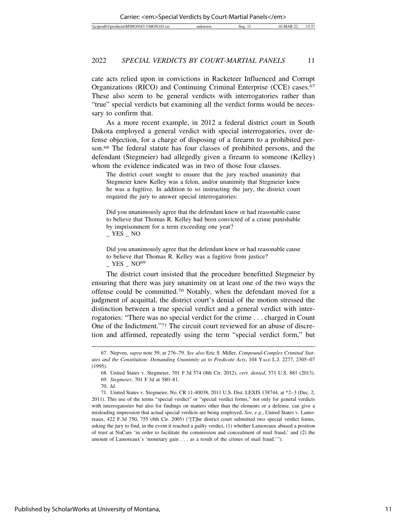cate acts relied upon in convictions in Racketeer Influenced and Corrupt Organizations (RICO) and Continuing Criminal Enterprise (CCE) cases.67 These also seem to be general verdicts with interrogatories rather than "true" special verdicts but examining all the verdict forms would be necessary to confirm that.

As a more recent example, in 2012 a federal district court in South Dakota employed a general verdict with special interrogatories, over defense objection, for a charge of disposing of a firearm to a prohibited person.68 The federal statute has four classes of prohibited persons, and the defendant (Stegmeier) had allegedly given a firearm to someone (Kelley) whom the evidence indicated was in two of those four classes.

The district court sought to ensure that the jury reached unanimity that Stegmeier knew Kelley was a felon, and/or unanimity that Stegmeier knew he was a fugitive. In addition to so instructing the jury, the district court required the jury to answer special interrogatories:

Did you unanimously agree that the defendant knew or had reasonable cause to believe that Thomas R. Kelley had been convicted of a crime punishable by imprisonment for a term exceeding one year?  $\_$  YES  $\_$  NO  $\,$ 

Did you unanimously agree that the defendant knew or had reasonable cause to believe that Thomas R. Kelley was a fugitive from justice?  $YES$   $NO<sup>69</sup>$ 

The district court insisted that the procedure benefitted Stegmeier by ensuring that there was jury unanimity on at least one of the two ways the offense could be committed.70 Notably, when the defendant moved for a judgment of acquittal, the district court's denial of the motion stressed the distinction between a true special verdict and a general verdict with interrogatories: "There was no special verdict for the crime . . . charged in Count One of the Indictment."71 The circuit court reviewed for an abuse of discretion and affirmed, repeatedly using the term "special verdict form," but

<sup>67.</sup> Nepveu, *supra* note 59, at 276–79. *See also* Eric S. Miller, *Compound-Complex Criminal Statutes and the Constitution: Demanding Unanimity as to Predicate Acts*, 104 YALE L.J. 2277, 2305–07 (1995).

<sup>68.</sup> United States v. Stegmeier, 701 F.3d 574 (8th Cir. 2012), *cert. denied*, 571 U.S. 881 (2013). 69. *Stegmeier*, 701 F.3d at 580–81.

<sup>70.</sup> *Id*.

<sup>71.</sup> United States v. Stegmeier, No. CR 11-40038, 2011 U.S. Dist. LEXIS 138744, at \*2–3 (Dec. 2, 2011). This use of the terms "special verdict" or "special verdict forms," not only for general verdicts with interrogatories but also for findings on matters other than the elements or a defense, can give a misleading impression that actual special verdicts are being employed. *See*, *e.g*., United States v. Lamoreaux, 422 F.3d 750, 755 (8th Cir. 2005) ("[T]he district court submitted two special verdict forms, asking the jury to find, in the event it reached a guilty verdict, (1) whether Lamoreaux abused a position of trust at NuCare 'in order to facilitate the commission and concealment of mail fraud,' and (2) the amount of Lamoreaux's 'monetary gain . . . as a result of the crimes of mail fraud.'").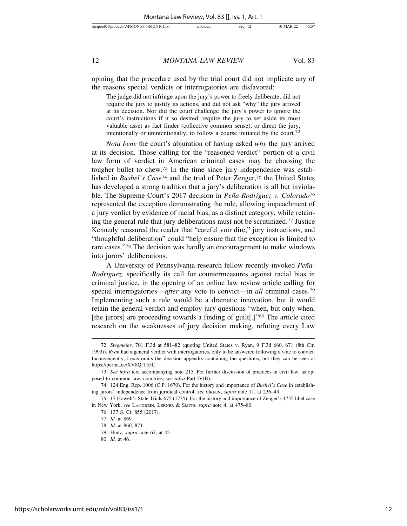opining that the procedure used by the trial court did not implicate any of the reasons special verdicts or interrogatories are disfavored:

The judge did not infringe upon the jury's power to freely deliberate, did not require the jury to justify its actions, and did not ask "why" the jury arrived at its decision. Nor did the court challenge the jury's power to ignore the court's instructions if it so desired, require the jury to set aside its most valuable asset as fact finder (collective common sense), or direct the jury, intentionally or unintentionally, to follow a course initiated by the court.72

*Nota bene* the court's abjuration of having asked *why* the jury arrived at its decision. Those calling for the "reasoned verdict" portion of a civil law form of verdict in American criminal cases may be choosing the tougher bullet to chew.73 In the time since jury independence was established in *Bushel's Case*74 and the trial of Peter Zenger,75 the United States has developed a strong tradition that a jury's deliberation is all but inviolable. The Supreme Court's 2017 decision in *Peña-Rodriguez v. Colorado*<sup>76</sup> represented the exception demonstrating the rule, allowing impeachment of a jury verdict by evidence of racial bias, as a distinct category, while retaining the general rule that jury deliberations must not be scrutinized.77 Justice Kennedy reassured the reader that "careful voir dire," jury instructions, and "thoughtful deliberation" could "help ensure that the exception is limited to rare cases."78 The decision was hardly an encouragement to make windows into jurors' deliberations.

A University of Pennsylvania research fellow recently invoked *Peña*-*Rodriguez*, specifically its call for countermeasures against racial bias in criminal justice, in the opening of an online law review article calling for special interrogatories—*after* any vote to convict—in *all* criminal cases.79 Implementing such a rule would be a dramatic innovation, but it would retain the general verdict and employ jury questions "when, but only when, [the jurors] are proceeding towards a finding of guilt[.]"80 The article cited research on the weaknesses of jury decision making, refuting every Law

<sup>72.</sup> *Stegmeier*, 701 F.3d at 581–82 (quoting United States v. Ryan, 9 F.3d 660, 671 (8th Cir. 1993)). *Ryan* had a general verdict with interrogatories, only to be answered following a vote to convict. Inconveniently, Lexis omits the decision appendix containing the questions, but they can be seen at https://perma.cc/XV8Q-T55C.

<sup>73.</sup> *See infra* text accompanying note 215. For further discussion of practices in civil law, as opposed to common law, countries, *see infra* Part IV(B).

<sup>74. 124</sup> Eng. Rep. 1006 (C.P. 1670). For the history and importance of *Bushel's Case* in establishing jurors' independence from juridical control, *see* GREEN, *supra* note 11, at 236–49.

<sup>75. 17</sup> Howell's State Trials 675 (1735). For the history and importance of Zenger's 1735 libel case in New York, *see* LANGBEIN, LERNER & SMITH, *supra* note 4, at 475–80.

<sup>76. 137</sup> S. Ct. 855 (2017).

<sup>77.</sup> *Id.* at 869.

<sup>78.</sup> *Id.* at 860, 871.

<sup>79.</sup> Hintz, *supra* note 62, at 45.

<sup>80.</sup> *Id.* at 46*.*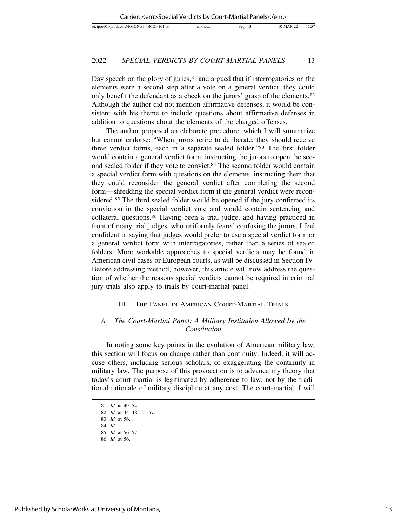Day speech on the glory of juries, $81$  and argued that if interrogatories on the elements were a second step after a vote on a general verdict, they could only benefit the defendant as a check on the jurors' grasp of the elements.82 Although the author did not mention affirmative defenses, it would be consistent with his theme to include questions about affirmative defenses in addition to questions about the elements of the charged offenses.

The author proposed an elaborate procedure, which I will summarize but cannot endorse: "When jurors retire to deliberate, they should receive three verdict forms, each in a separate sealed folder."83 The first folder would contain a general verdict form, instructing the jurors to open the second sealed folder if they vote to convict.84 The second folder would contain a special verdict form with questions on the elements, instructing them that they could reconsider the general verdict after completing the second form—shredding the special verdict form if the general verdict were reconsidered.85 The third sealed folder would be opened if the jury confirmed its conviction in the special verdict vote and would contain sentencing and collateral questions.86 Having been a trial judge, and having practiced in front of many trial judges, who uniformly feared confusing the jurors, I feel confident in saying that judges would prefer to use a special verdict form or a general verdict form with interrogatories, rather than a series of sealed folders. More workable approaches to special verdicts may be found in American civil cases or European courts, as will be discussed in Section IV. Before addressing method, however, this article will now address the question of whether the reasons special verdicts cannot be required in criminal jury trials also apply to trials by court-martial panel.

# III. THE PANEL IN AMERICAN COURT-MARTIAL TRIALS

# *A. The Court-Martial Panel: A Military Institution Allowed by the Constitution*

In noting some key points in the evolution of American military law, this section will focus on change rather than continuity. Indeed, it will accuse others, including serious scholars, of exaggerating the continuity in military law. The purpose of this provocation is to advance my theory that today's court-martial is legitimated by adherence to law, not by the traditional rationale of military discipline at any cost. The court-martial, I will

<sup>81.</sup> *Id.* at 49–54.

<sup>82.</sup> *Id.* at 44–48, 55–57. 83. *Id.* at 56.

<sup>84.</sup> *Id.*

<sup>85.</sup> *Id.* at 56–57.

<sup>86.</sup> *Id.* at 56.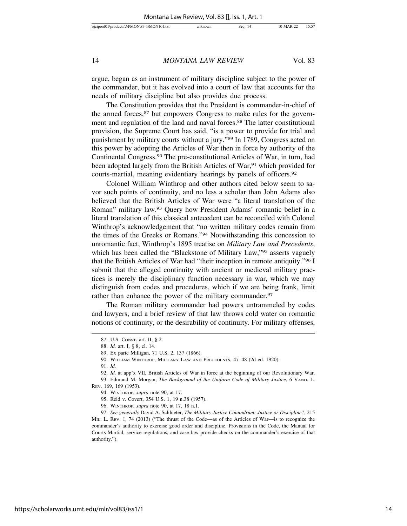argue, began as an instrument of military discipline subject to the power of the commander, but it has evolved into a court of law that accounts for the needs of military discipline but also provides due process.

The Constitution provides that the President is commander-in-chief of the armed forces,  $87$  but empowers Congress to make rules for the government and regulation of the land and naval forces.88 The latter constitutional provision, the Supreme Court has said, "is a power to provide for trial and punishment by military courts without a jury."89 In 1789, Congress acted on this power by adopting the Articles of War then in force by authority of the Continental Congress.90 The pre-constitutional Articles of War, in turn, had been adopted largely from the British Articles of War,<sup>91</sup> which provided for courts-martial, meaning evidentiary hearings by panels of officers.92

Colonel William Winthrop and other authors cited below seem to savor such points of continuity, and no less a scholar than John Adams also believed that the British Articles of War were "a literal translation of the Roman" military law.93 Query how President Adams' romantic belief in a literal translation of this classical antecedent can be reconciled with Colonel Winthrop's acknowledgement that "no written military codes remain from the times of the Greeks or Romans."94 Notwithstanding this concession to unromantic fact, Winthrop's 1895 treatise on *Military Law and Precedents*, which has been called the "Blackstone of Military Law,"<sup>95</sup> asserts vaguely that the British Articles of War had "their inception in remote antiquity."96 I submit that the alleged continuity with ancient or medieval military practices is merely the disciplinary function necessary in war, which we may distinguish from codes and procedures, which if we are being frank, limit rather than enhance the power of the military commander.<sup>97</sup>

The Roman military commander had powers untrammeled by codes and lawyers, and a brief review of that law throws cold water on romantic notions of continuity, or the desirability of continuity. For military offenses,

91. *Id.*

<sup>87.</sup> U.S. CONST. art. II, § 2.

<sup>88.</sup> *Id.* art. I, § 8, cl. 14.

<sup>89.</sup> Ex parte Milligan, 71 U.S. 2, 137 (1866).

<sup>90.</sup> WILLIAM WINTHROP, MILITARY LAW AND PRECEDENTS, 47–48 (2d ed. 1920).

<sup>92.</sup> *Id.* at app'x VII, British Articles of War in force at the beginning of our Revolutionary War. 93. Edmund M. Morgan, *The Background of the Uniform Code of Military Justice*, 6 VAND. L. REV. 169, 169 (1953).

<sup>94.</sup> WINTHROP, *supra* note 90, at 17.

<sup>95.</sup> Reid v. Covert, 354 U.S. 1, 19 n.38 (1957).

<sup>96.</sup> WINTHROP, *supra* note 90, at 17, 18 n.1.

<sup>97.</sup> *See generally* David A. Schlueter, *The Military Justice Conundrum: Justice or Discipline?*, 215 MIL. L. REV. 1, 74 (2013) ("The thrust of the Code—as of the Articles of War—is to recognize the commander's authority to exercise good order and discipline. Provisions in the Code, the Manual for Courts-Martial, service regulations, and case law provide checks on the commander's exercise of that authority.").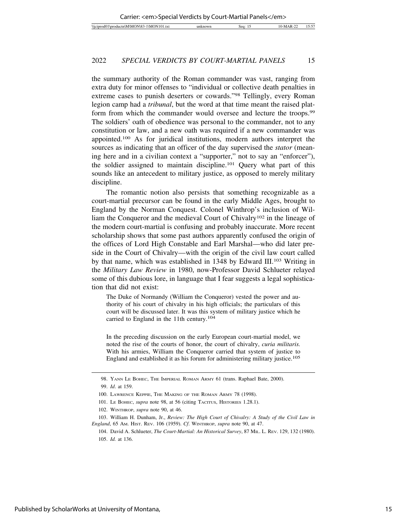the summary authority of the Roman commander was vast, ranging from extra duty for minor offenses to "individual or collective death penalties in extreme cases to punish deserters or cowards."98 Tellingly, every Roman legion camp had a *tribunal*, but the word at that time meant the raised platform from which the commander would oversee and lecture the troops.<sup>99</sup> The soldiers' oath of obedience was personal to the commander, not to any constitution or law, and a new oath was required if a new commander was appointed.100 As for juridical institutions, modern authors interpret the sources as indicating that an officer of the day supervised the *stator* (meaning here and in a civilian context a "supporter," not to say an "enforcer"), the soldier assigned to maintain discipline.101 Query what part of this sounds like an antecedent to military justice, as opposed to merely military discipline.

The romantic notion also persists that something recognizable as a court-martial precursor can be found in the early Middle Ages, brought to England by the Norman Conquest. Colonel Winthrop's inclusion of William the Conqueror and the medieval Court of Chivalry102 in the lineage of the modern court-martial is confusing and probably inaccurate. More recent scholarship shows that some past authors apparently confused the origin of the offices of Lord High Constable and Earl Marshal—who did later preside in the Court of Chivalry—with the origin of the civil law court called by that name, which was established in 1348 by Edward III.103 Writing in the *Military Law Review* in 1980, now-Professor David Schlueter relayed some of this dubious lore, in language that I fear suggests a legal sophistication that did not exist:

The Duke of Normandy (William the Conqueror) vested the power and authority of his court of chivalry in his high officials; the particulars of this court will be discussed later. It was this system of military justice which he carried to England in the 11th century.104

In the preceding discussion on the early European court-martial model, we noted the rise of the courts of honor, the court of chivalry, *curia militaris.* With his armies, William the Conqueror carried that system of justice to England and established it as his forum for administering military justice.105

<sup>98.</sup> YANN LE BOHEC, THE IMPERIAL ROMAN ARMY 61 (trans. Raphael Bate, 2000).

<sup>99.</sup> *Id*. at 159.

<sup>100.</sup> LAWRENCE KEPPIE, THE MAKING OF THE ROMAN ARMY 78 (1998).

<sup>101.</sup> LE BOHEC, *supra* note 98, at 56 (citing TACITUS, HISTORIES 1.28.1).

<sup>102.</sup> WINTHROP, *supra* note 90, at 46.

<sup>103.</sup> William H. Dunham, Jr., *Review: The High Court of Chivalry: A Study of the Civil Law in England*, 65 AM. HIST. REV. 106 (1959). *Cf*. WINTHROP, *supra* note 90, at 47.

<sup>104.</sup> David A. Schlueter, *The Court-Martial: An Historical Survey*, 87 MIL. L. REV. 129, 132 (1980). 105. *Id.* at 136.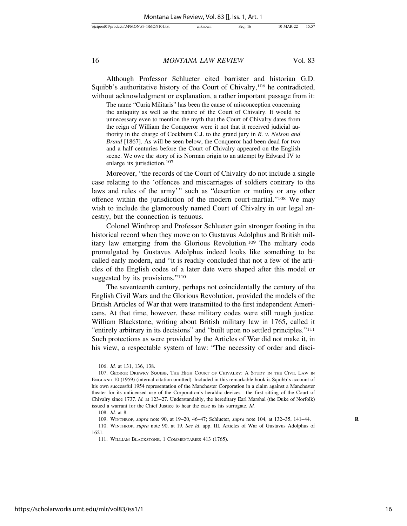Although Professor Schlueter cited barrister and historian G.D. Squibb's authoritative history of the Court of Chivalry,<sup>106</sup> he contradicted, without acknowledgment or explanation, a rather important passage from it:

The name "Curia Militaris" has been the cause of misconception concerning the antiquity as well as the nature of the Court of Chivalry. It would be unnecessary even to mention the myth that the Court of Chivalry dates from the reign of William the Conqueror were it not that it received judicial authority in the charge of Cockburn C.J. to the grand jury in *R. v. Nelson and Brand* [1867]. As will be seen below, the Conqueror had been dead for two and a half centuries before the Court of Chivalry appeared on the English scene. We owe the story of its Norman origin to an attempt by Edward IV to enlarge its jurisdiction.107

Moreover, "the records of the Court of Chivalry do not include a single case relating to the 'offences and miscarriages of soldiers contrary to the laws and rules of the army'" such as "desertion or mutiny or any other offence within the jurisdiction of the modern court-martial."108 We may wish to include the glamorously named Court of Chivalry in our legal ancestry, but the connection is tenuous.

Colonel Winthrop and Professor Schlueter gain stronger footing in the historical record when they move on to Gustavus Adolphus and British military law emerging from the Glorious Revolution.109 The military code promulgated by Gustavus Adolphus indeed looks like something to be called early modern, and "it is readily concluded that not a few of the articles of the English codes of a later date were shaped after this model or suggested by its provisions."<sup>110</sup>

The seventeenth century, perhaps not coincidentally the century of the English Civil Wars and the Glorious Revolution, provided the models of the British Articles of War that were transmitted to the first independent Americans. At that time, however, these military codes were still rough justice. William Blackstone, writing about British military law in 1765, called it "entirely arbitrary in its decisions" and "built upon no settled principles."111 Such protections as were provided by the Articles of War did not make it, in his view, a respectable system of law: "The necessity of order and disci-

110. WINTHROP, *supra* note 90, at 19. *See id*. app. III, Articles of War of Gustavus Adolphus of 1621.

<sup>106.</sup> *Id.* at 131, 136, 138.

<sup>107.</sup> GEORGE DREWRY SQUIBB, THE HIGH COURT OF CHIVALRY: A STUDY IN THE CIVIL LAW IN ENGLAND 10 (1959) (internal citation omitted). Included in this remarkable book is Squibb's account of his own successful 1954 representation of the Manchester Corporation in a claim against a Manchester theater for its unlicensed use of the Corporation's heraldic devices—the first sitting of the Court of Chivalry since 1737. *Id.* at 123–27. Understandably, the hereditary Earl Marshal (the Duke of Norfolk) issued a warrant for the Chief Justice to hear the case as his surrogate. *Id.*

<sup>108.</sup> *Id.* at 8.

<sup>109.</sup> WINTHROP, *supra* note 90, at 19–20, 46–47; Schlueter, *supra* note 104, at 132–35, 141–44. **R**

<sup>111.</sup> WILLIAM BLACKSTONE, 1 COMMENTARIES 413 (1765).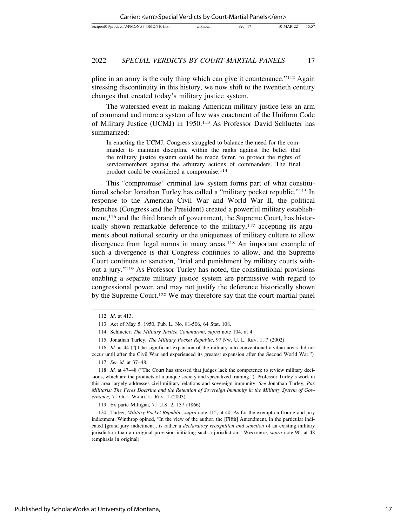pline in an army is the only thing which can give it countenance."112 Again stressing discontinuity in this history, we now shift to the twentieth century changes that created today's military justice system.

The watershed event in making American military justice less an arm of command and more a system of law was enactment of the Uniform Code of Military Justice (UCMJ) in 1950.113 As Professor David Schlueter has summarized:

In enacting the UCMJ, Congress struggled to balance the need for the commander to maintain discipline within the ranks against the belief that the military justice system could be made fairer, to protect the rights of servicemembers against the arbitrary actions of commanders. The final product could be considered a compromise.114

This "compromise" criminal law system forms part of what constitutional scholar Jonathan Turley has called a "military pocket republic."115 In response to the American Civil War and World War II, the political branches (Congress and the President) created a powerful military establishment,<sup>116</sup> and the third branch of government, the Supreme Court, has historically shown remarkable deference to the military,<sup>117</sup> accepting its arguments about national security or the uniqueness of military culture to allow divergence from legal norms in many areas.<sup>118</sup> An important example of such a divergence is that Congress continues to allow, and the Supreme Court continues to sanction, "trial and punishment by military courts without a jury."119 As Professor Turley has noted, the constitutional provisions enabling a separate military justice system are permissive with regard to congressional power, and may not justify the deference historically shown by the Supreme Court.<sup>120</sup> We may therefore say that the court-martial panel

119. Ex parte Milligan, 71 U.S. 2, 137 (1866).

<sup>112.</sup> *Id*. at 413.

<sup>113.</sup> Act of May 5, 1950, Pub. L. No. 81-506, 64 Stat. 108.

<sup>114.</sup> Schlueter, *The Military Justice Conundrum*, *supra* note 104, at 4.

<sup>115.</sup> Jonathan Turley, *The Military Pocket Republic*, 97 NW. U. L. REV. 1, 7 (2002).

<sup>116.</sup> *Id.* at 44 ("[T]he significant expansion of the military into conventional civilian areas did not occur until after the Civil War and experienced its greatest expansion after the Second World War.")

<sup>117.</sup> *See id.* at 37–48.

<sup>118.</sup> *Id.* at 47–48 ("The Court has stressed that judges lack the competence to review military decisions, which are the products of a unique society and specialized training."). Professor Turley's work in this area largely addresses civil-military relations and sovereign immunity. *See* Jonathan Turley, *Pax Militaris: The Feres Doctrine and the Retention of Sovereign Immunity in the Military System of Governance*, 71 GEO. WASH. L. REV. 1 (2003).

<sup>120.</sup> Turley, *Military Pocket Republic*, *supra* note 115, at 40. As for the exemption from grand jury indictment, Winthrop opined, "In the view of the author, the [Fifth] Amendment, in the particular indicated [grand jury indictment], is rather a *declaratory recognition and sanction* of an existing military jurisdiction than an original provision initiating such a jurisdiction." WINTHROP, *supra* note 90, at 48 (emphasis in original).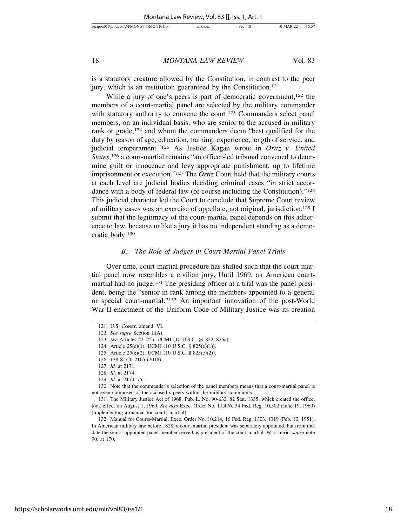is a statutory creature allowed by the Constitution, in contrast to the peer jury, which is an institution guaranteed by the Constitution.121

While a jury of one's peers is part of democratic government,<sup>122</sup> the members of a court-martial panel are selected by the military commander with statutory authority to convene the court.<sup>123</sup> Commanders select panel members, on an individual basis, who are senior to the accused in military rank or grade,<sup>124</sup> and whom the commanders deem "best qualified for the duty by reason of age, education, training, experience, length of service, and judicial temperament."125 As Justice Kagan wrote in *Ortiz v. United* States,<sup>126</sup> a court-martial remains "an officer-led tribunal convened to determine guilt or innocence and levy appropriate punishment, up to lifetime imprisonment or execution."127 The *Ortiz* Court held that the military courts at each level are judicial bodies deciding criminal cases "in strict accordance with a body of federal law (of course including the Constitution)."128 This judicial character led the Court to conclude that Supreme Court review of military cases was an exercise of appellate, not original, jurisdiction.129 I submit that the legitimacy of the court-martial panel depends on this adherence to law, because unlike a jury it has no independent standing as a democratic body.130

#### *B. The Role of Judges in Court-Martial Panel Trials*

Over time, court-martial procedure has shifted such that the court-martial panel now resembles a civilian jury. Until 1969, an American courtmartial had no judge.<sup>131</sup> The presiding officer at a trial was the panel president, being the "senior in rank among the members appointed to a general or special court-martial."132 An important innovation of the post-World War II enactment of the Uniform Code of Military Justice was its creation

130. Note that the commander's selection of the panel members means that a court-martial panel is not even composed of the accused's peers within the military community.

131. The Military Justice Act of 1968, Pub. L. No. 90-632, 82 Stat. 1335, which created the office, took effect on August 1, 1969. *See also* Exec. Order No. 11,476, 34 Fed. Reg. 10,502 (June 19, 1969) (implementing a manual for courts-martial).

132. Manual for Courts-Martial, Exec. Order No. 10,214, 16 Fed. Reg. 1303, 1319 (Feb. 10, 1951). In American military law before 1828, a court-martial president was separately appointed, but from that date the senior appointed panel member served as president of the court-martial. WINTHROP, *supra* note 90, at 170.

<sup>121.</sup> U.S. CONST. amend. VI.

<sup>122.</sup> *See supra* Section II(A).

<sup>123.</sup> *See* Articles 22–25a, UCMJ (10 U.S.C. §§ 822–825a).

<sup>124.</sup> Article 25(e)(1), UCMJ (10 U.S.C. § 825(e)(1)).

<sup>125.</sup> Article 25(e)(2), UCMJ (10 U.S.C. § 825(e)(2)).

<sup>126. 138</sup> S. Ct. 2165 (2018).

<sup>127.</sup> *Id.* at 2171.

<sup>128.</sup> *Id.* at 2174.

<sup>129.</sup> *Id.* at 2174–75.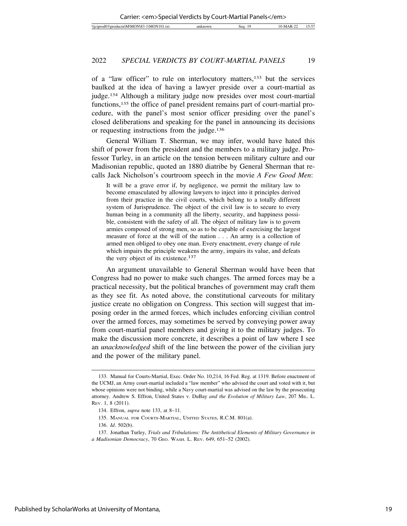of a "law officer" to rule on interlocutory matters,133 but the services baulked at the idea of having a lawyer preside over a court-martial as judge.134 Although a military judge now presides over most court-martial functions,<sup>135</sup> the office of panel president remains part of court-martial procedure, with the panel's most senior officer presiding over the panel's closed deliberations and speaking for the panel in announcing its decisions or requesting instructions from the judge.136

General William T. Sherman, we may infer, would have hated this shift of power from the president and the members to a military judge. Professor Turley, in an article on the tension between military culture and our Madisonian republic, quoted an 1880 diatribe by General Sherman that recalls Jack Nicholson's courtroom speech in the movie *A Few Good Men*:

It will be a grave error if, by negligence, we permit the military law to become emasculated by allowing lawyers to inject into it principles derived from their practice in the civil courts, which belong to a totally different system of Jurisprudence. The object of the civil law is to secure to every human being in a community all the liberty, security, and happiness possible, consistent with the safety of all. The object of military law is to govern armies composed of strong men, so as to be capable of exercising the largest measure of force at the will of the nation . . . An army is a collection of armed men obliged to obey one man. Every enactment, every change of rule which impairs the principle weakens the army, impairs its value, and defeats the very object of its existence.<sup>137</sup>

An argument unavailable to General Sherman would have been that Congress had no power to make such changes. The armed forces may be a practical necessity, but the political branches of government may craft them as they see fit. As noted above, the constitutional carveouts for military justice create no obligation on Congress. This section will suggest that imposing order in the armed forces, which includes enforcing civilian control over the armed forces, may sometimes be served by conveying power away from court-martial panel members and giving it to the military judges. To make the discussion more concrete, it describes a point of law where I see an *unacknowledged* shift of the line between the power of the civilian jury and the power of the military panel.

<sup>133.</sup> Manual for Courts-Martial, Exec. Order No. 10,214, 16 Fed. Reg. at 1319. Before enactment of the UCMJ, an Army court-martial included a "law member" who advised the court and voted with it, but whose opinions were not binding, while a Navy court-martial was advised on the law by the prosecuting attorney. Andrew S. Effron, United States v. DuBay *and the Evolution of Military Law*, 207 MIL. L. REV. 1, 8 (2011).

<sup>134.</sup> Effron, *supra* note 133, at 8–11.

<sup>135.</sup> MANUAL FOR COURTS-MARTIAL, UNITED STATES, R.C.M. 801(a).

<sup>136.</sup> *Id*. 502(b).

<sup>137.</sup> Jonathan Turley, *Trials and Tribulations: The Antithetical Elements of Military Governance in a Madisonian Democracy*, 70 GEO. WASH. L. REV. 649, 651–52 (2002).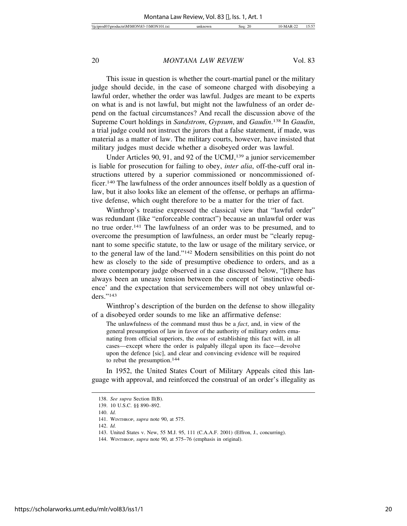This issue in question is whether the court-martial panel or the military judge should decide, in the case of someone charged with disobeying a lawful order, whether the order was lawful. Judges are meant to be experts on what is and is not lawful, but might not the lawfulness of an order depend on the factual circumstances? And recall the discussion above of the Supreme Court holdings in *Sandstrom*, *Gypsum*, and *Gaudin*. 138 In *Gaudin*, a trial judge could not instruct the jurors that a false statement, if made, was material as a matter of law. The military courts, however, have insisted that military judges must decide whether a disobeyed order was lawful.

Under Articles 90, 91, and 92 of the UCMJ,139 a junior servicemember is liable for prosecution for failing to obey, *inter alia*, off-the-cuff oral instructions uttered by a superior commissioned or noncommissioned officer.140 The lawfulness of the order announces itself boldly as a question of law, but it also looks like an element of the offense, or perhaps an affirmative defense, which ought therefore to be a matter for the trier of fact.

Winthrop's treatise expressed the classical view that "lawful order" was redundant (like "enforceable contract") because an unlawful order was no true order.141 The lawfulness of an order was to be presumed, and to overcome the presumption of lawfulness, an order must be "clearly repugnant to some specific statute, to the law or usage of the military service, or to the general law of the land."142 Modern sensibilities on this point do not hew as closely to the side of presumptive obedience to orders, and as a more contemporary judge observed in a case discussed below, "[t]here has always been an uneasy tension between the concept of 'instinctive obedience' and the expectation that servicemembers will not obey unlawful orders."143

Winthrop's description of the burden on the defense to show illegality of a disobeyed order sounds to me like an affirmative defense:

The unlawfulness of the command must thus be a *fact*, and, in view of the general presumption of law in favor of the authority of military orders emanating from official superiors, the *onus* of establishing this fact will, in all cases—except where the order is palpably illegal upon its face—devolve upon the defence [sic], and clear and convincing evidence will be required to rebut the presumption.144

In 1952, the United States Court of Military Appeals cited this language with approval, and reinforced the construal of an order's illegality as

<sup>138.</sup> *See supra* Section II(B).

<sup>139. 10</sup> U.S.C. §§ 890–892.

<sup>140.</sup> *Id.*

<sup>141.</sup> WINTHROP, *supra* note 90, at 575.

<sup>142.</sup> *Id.*

<sup>143.</sup> United States v. New, 55 M.J. 95, 111 (C.A.A.F. 2001) (Effron, J., concurring).

<sup>144.</sup> WINTHROP, *supra* note 90, at 575–76 (emphasis in original).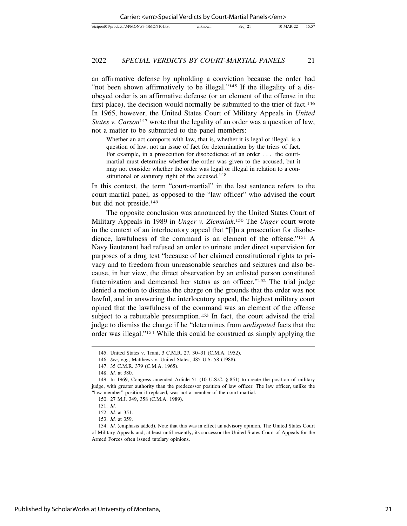an affirmative defense by upholding a conviction because the order had "not been shown affirmatively to be illegal."<sup>145</sup> If the illegality of a disobeyed order is an affirmative defense (or an element of the offense in the first place), the decision would normally be submitted to the trier of fact.<sup>146</sup> In 1965, however, the United States Court of Military Appeals in *United States v. Carson*<sup>147</sup> wrote that the legality of an order was a question of law, not a matter to be submitted to the panel members:

Whether an act comports with law, that is, whether it is legal or illegal, is a question of law, not an issue of fact for determination by the triers of fact. For example, in a prosecution for disobedience of an order . . . the courtmartial must determine whether the order was given to the accused, but it may not consider whether the order was legal or illegal in relation to a constitutional or statutory right of the accused.<sup>148</sup>

In this context, the term "court-martial" in the last sentence refers to the court-martial panel, as opposed to the "law officer" who advised the court but did not preside.149

The opposite conclusion was announced by the United States Court of Military Appeals in 1989 in *Unger v. Ziemniak*. 150 The *Unger* court wrote in the context of an interlocutory appeal that "[i]n a prosecution for disobedience, lawfulness of the command is an element of the offense."151 A Navy lieutenant had refused an order to urinate under direct supervision for purposes of a drug test "because of her claimed constitutional rights to privacy and to freedom from unreasonable searches and seizures and also because, in her view, the direct observation by an enlisted person constituted fraternization and demeaned her status as an officer."152 The trial judge denied a motion to dismiss the charge on the grounds that the order was not lawful, and in answering the interlocutory appeal, the highest military court opined that the lawfulness of the command was an element of the offense subject to a rebuttable presumption.<sup>153</sup> In fact, the court advised the trial judge to dismiss the charge if he "determines from *undisputed* facts that the order was illegal."154 While this could be construed as simply applying the

<sup>145.</sup> United States v. Trani, 3 C.M.R. 27, 30–31 (C.M.A. 1952).

<sup>146.</sup> *See*, *e.g.*, Matthews v. United States, 485 U.S. 58 (1988).

<sup>147. 35</sup> C.M.R. 379 (C.M.A. 1965).

<sup>148.</sup> *Id.* at 380.

<sup>149.</sup> In 1969, Congress amended Article 51 (10 U.S.C. § 851) to create the position of military judge, with greater authority than the predecessor position of law officer. The law officer, unlike the "law member" position it replaced, was not a member of the court-martial.

<sup>150. 27</sup> M.J. 349, 358 (C.M.A. 1989).

<sup>151.</sup> *Id.*

<sup>152.</sup> *Id.* at 351.

<sup>153.</sup> *Id.* at 359.

<sup>154.</sup> *Id.* (emphasis added). Note that this was in effect an advisory opinion. The United States Court of Military Appeals and, at least until recently, its successor the United States Court of Appeals for the Armed Forces often issued tutelary opinions.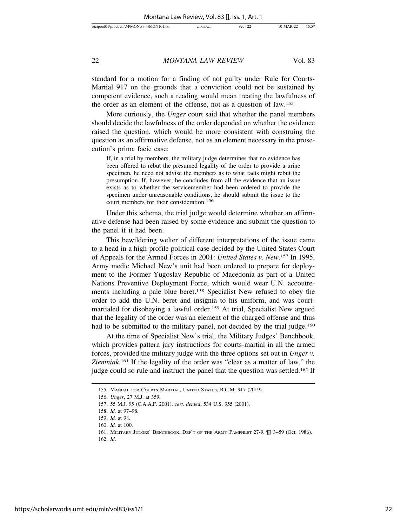standard for a motion for a finding of not guilty under Rule for Courts-Martial 917 on the grounds that a conviction could not be sustained by competent evidence, such a reading would mean treating the lawfulness of the order as an element of the offense, not as a question of law.155

More curiously, the *Unger* court said that whether the panel members should decide the lawfulness of the order depended on whether the evidence raised the question, which would be more consistent with construing the question as an affirmative defense, not as an element necessary in the prosecution's prima facie case:

If, in a trial by members, the military judge determines that no evidence has been offered to rebut the presumed legality of the order to provide a urine specimen, he need not advise the members as to what facts might rebut the presumption. If, however, he concludes from all the evidence that an issue exists as to whether the servicemember had been ordered to provide the specimen under unreasonable conditions, he should submit the issue to the court members for their consideration.156

Under this schema, the trial judge would determine whether an affirmative defense had been raised by some evidence and submit the question to the panel if it had been.

This bewildering welter of different interpretations of the issue came to a head in a high-profile political case decided by the United States Court of Appeals for the Armed Forces in 2001: *United States v. New*. 157 In 1995, Army medic Michael New's unit had been ordered to prepare for deployment to the Former Yugoslav Republic of Macedonia as part of a United Nations Preventive Deployment Force, which would wear U.N. accoutrements including a pale blue beret.158 Specialist New refused to obey the order to add the U.N. beret and insignia to his uniform, and was courtmartialed for disobeying a lawful order.159 At trial, Specialist New argued that the legality of the order was an element of the charged offense and thus had to be submitted to the military panel, not decided by the trial judge.<sup>160</sup>

At the time of Specialist New's trial, the Military Judges' Benchbook, which provides pattern jury instructions for courts-martial in all the armed forces, provided the military judge with the three options set out in *Unger v. Ziemniak.*161 If the legality of the order was "clear as a matter of law," the judge could so rule and instruct the panel that the question was settled.<sup>162</sup> If

<sup>155.</sup> MANUAL FOR COURTS-MARTIAL, UNITED STATES, R.C.M. 917 (2019).

<sup>156.</sup> *Unger*, 27 M.J. at 359.

<sup>157. 55</sup> M.J. 95 (C.A.A.F. 2001), *cert. denied*, 534 U.S. 955 (2001).

<sup>158.</sup> *Id.* at 97–98.

<sup>159.</sup> *Id.* at 98.

<sup>160.</sup> *Id.* at 100.

<sup>161.</sup> MILITARY JUDGES' BENCHBOOK, DEP'T OF THE ARMY PAMPHLET 27-9, ¶¶ 3–59 (Oct. 1986). 162. *Id*.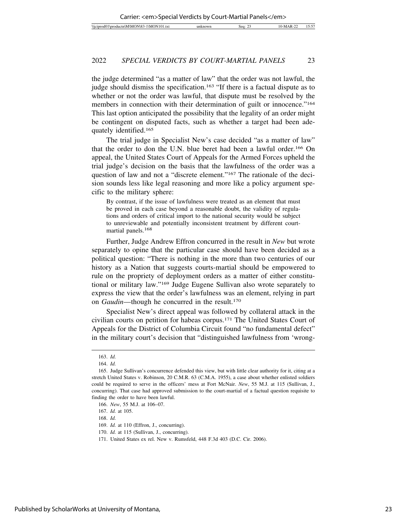the judge determined "as a matter of law" that the order was not lawful, the judge should dismiss the specification.<sup>163</sup> "If there is a factual dispute as to whether or not the order was lawful, that dispute must be resolved by the members in connection with their determination of guilt or innocence."<sup>164</sup> This last option anticipated the possibility that the legality of an order might be contingent on disputed facts, such as whether a target had been adequately identified.165

The trial judge in Specialist New's case decided "as a matter of law" that the order to don the U.N. blue beret had been a lawful order.166 On appeal, the United States Court of Appeals for the Armed Forces upheld the trial judge's decision on the basis that the lawfulness of the order was a question of law and not a "discrete element."<sup>167</sup> The rationale of the decision sounds less like legal reasoning and more like a policy argument specific to the military sphere:

By contrast, if the issue of lawfulness were treated as an element that must be proved in each case beyond a reasonable doubt, the validity of regulations and orders of critical import to the national security would be subject to unreviewable and potentially inconsistent treatment by different courtmartial panels.168

Further, Judge Andrew Effron concurred in the result in *New* but wrote separately to opine that the particular case should have been decided as a political question: "There is nothing in the more than two centuries of our history as a Nation that suggests courts-martial should be empowered to rule on the propriety of deployment orders as a matter of either constitutional or military law."169 Judge Eugene Sullivan also wrote separately to express the view that the order's lawfulness was an element, relying in part on *Gaudin*—though he concurred in the result.170

Specialist New's direct appeal was followed by collateral attack in the civilian courts on petition for habeas corpus.171 The United States Court of Appeals for the District of Columbia Circuit found "no fundamental defect" in the military court's decision that "distinguished lawfulness from 'wrong-

<sup>163.</sup> *Id.*

<sup>164.</sup> *Id.*

<sup>165.</sup> Judge Sullivan's concurrence defended this view, but with little clear authority for it, citing at a stretch United States v. Robinson, 20 C.M.R. 63 (C.M.A. 1955), a case about whether enlisted soldiers could be required to serve in the officers' mess at Fort McNair. *New*, 55 M.J. at 115 (Sullivan, J., concurring). That case had approved submission to the court-martial of a factual question requisite to finding the order to have been lawful.

<sup>166.</sup> *New*, 55 M.J. at 106–07.

<sup>167.</sup> *Id.* at 105.

<sup>168.</sup> *Id.*

<sup>169.</sup> *Id.* at 110 (Effron, J., concurring).

<sup>170.</sup> *Id.* at 115 (Sullivan, J., concurring).

<sup>171.</sup> United States ex rel. New v. Rumsfeld, 448 F.3d 403 (D.C. Cir. 2006).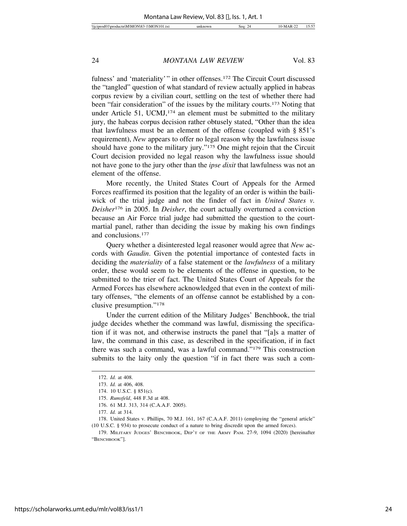fulness' and 'materiality'" in other offenses.<sup>172</sup> The Circuit Court discussed the "tangled" question of what standard of review actually applied in habeas corpus review by a civilian court, settling on the test of whether there had been "fair consideration" of the issues by the military courts.173 Noting that under Article 51, UCMJ, $174$  an element must be submitted to the military jury, the habeas corpus decision rather obtusely stated, "Other than the idea that lawfulness must be an element of the offense (coupled with  $\S$  851's requirement), *New* appears to offer no legal reason why the lawfulness issue should have gone to the military jury."175 One might rejoin that the Circuit Court decision provided no legal reason why the lawfulness issue should not have gone to the jury other than the *ipse dixit* that lawfulness was not an element of the offense.

More recently, the United States Court of Appeals for the Armed Forces reaffirmed its position that the legality of an order is within the bailiwick of the trial judge and not the finder of fact in *United States v. Deisher*176 in 2005. In *Deisher*, the court actually overturned a conviction because an Air Force trial judge had submitted the question to the courtmartial panel, rather than deciding the issue by making his own findings and conclusions.177

Query whether a disinterested legal reasoner would agree that *New* accords with *Gaudin*. Given the potential importance of contested facts in deciding the *materiality* of a false statement or the *lawfulness* of a military order, these would seem to be elements of the offense in question, to be submitted to the trier of fact. The United States Court of Appeals for the Armed Forces has elsewhere acknowledged that even in the context of military offenses, "the elements of an offense cannot be established by a conclusive presumption."178

Under the current edition of the Military Judges' Benchbook, the trial judge decides whether the command was lawful, dismissing the specification if it was not, and otherwise instructs the panel that "[a]s a matter of law, the command in this case, as described in the specification, if in fact there was such a command, was a lawful command."179 This construction submits to the laity only the question "if in fact there was such a com-

<sup>172.</sup> *Id.* at 408.

<sup>173.</sup> *Id.* at 406, 408.

<sup>174. 10</sup> U.S.C. § 851(c).

<sup>175.</sup> *Rumsfeld*, 448 F.3d at 408.

<sup>176. 61</sup> M.J. 313, 314 (C.A.A.F. 2005).

<sup>177.</sup> *Id.* at 314.

<sup>178.</sup> United States v. Phillips, 70 M.J. 161, 167 (C.A.A.F. 2011) (employing the "general article" (10 U.S.C. § 934) to prosecute conduct of a nature to bring discredit upon the armed forces).

<sup>179.</sup> MILITARY JUDGES' BENCHBOOK, DEP'T OF THE ARMY PAM. 27-9, 1094 (2020) [hereinafter "BENCHBOOK"].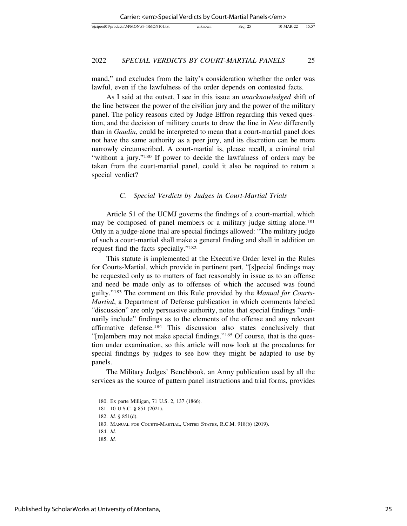mand," and excludes from the laity's consideration whether the order was lawful, even if the lawfulness of the order depends on contested facts.

As I said at the outset, I see in this issue an *unacknowledged* shift of the line between the power of the civilian jury and the power of the military panel. The policy reasons cited by Judge Effron regarding this vexed question, and the decision of military courts to draw the line in *New* differently than in *Gaudin*, could be interpreted to mean that a court-martial panel does not have the same authority as a peer jury, and its discretion can be more narrowly circumscribed. A court-martial is, please recall, a criminal trial "without a jury."180 If power to decide the lawfulness of orders may be taken from the court-martial panel, could it also be required to return a special verdict?

# *C. Special Verdicts by Judges in Court-Martial Trials*

Article 51 of the UCMJ governs the findings of a court-martial, which may be composed of panel members or a military judge sitting alone.<sup>181</sup> Only in a judge-alone trial are special findings allowed: "The military judge of such a court-martial shall make a general finding and shall in addition on request find the facts specially."182

This statute is implemented at the Executive Order level in the Rules for Courts-Martial, which provide in pertinent part, "[s]pecial findings may be requested only as to matters of fact reasonably in issue as to an offense and need be made only as to offenses of which the accused was found guilty."183 The comment on this Rule provided by the *Manual for Courts-Martial*, a Department of Defense publication in which comments labeled "discussion" are only persuasive authority, notes that special findings "ordinarily include" findings as to the elements of the offense and any relevant affirmative defense.184 This discussion also states conclusively that "[m]embers may not make special findings."185 Of course, that is the question under examination, so this article will now look at the procedures for special findings by judges to see how they might be adapted to use by panels.

The Military Judges' Benchbook, an Army publication used by all the services as the source of pattern panel instructions and trial forms, provides

<sup>180.</sup> Ex parte Milligan, 71 U.S. 2, 137 (1866).

<sup>181. 10</sup> U.S.C. § 851 (2021).

<sup>182.</sup> *Id.* § 851(d).

<sup>183.</sup> MANUAL FOR COURTS-MARTIAL, UNITED STATES, R.C.M. 918(b) (2019).

<sup>184.</sup> *Id.*

<sup>185.</sup> *Id.*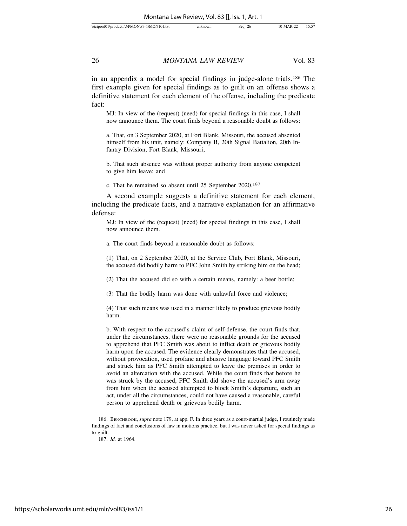in an appendix a model for special findings in judge-alone trials.186 The first example given for special findings as to guilt on an offense shows a definitive statement for each element of the offense, including the predicate fact:

MJ: In view of the (request) (need) for special findings in this case, I shall now announce them. The court finds beyond a reasonable doubt as follows:

a. That, on 3 September 2020, at Fort Blank, Missouri, the accused absented himself from his unit, namely: Company B, 20th Signal Battalion, 20th Infantry Division, Fort Blank, Missouri;

b. That such absence was without proper authority from anyone competent to give him leave; and

c. That he remained so absent until 25 September 2020.187

A second example suggests a definitive statement for each element, including the predicate facts, and a narrative explanation for an affirmative defense:

MJ: In view of the (request) (need) for special findings in this case, I shall now announce them.

a. The court finds beyond a reasonable doubt as follows:

(1) That, on 2 September 2020, at the Service Club, Fort Blank, Missouri, the accused did bodily harm to PFC John Smith by striking him on the head;

(2) That the accused did so with a certain means, namely: a beer bottle;

(3) That the bodily harm was done with unlawful force and violence;

(4) That such means was used in a manner likely to produce grievous bodily harm.

b. With respect to the accused's claim of self-defense, the court finds that, under the circumstances, there were no reasonable grounds for the accused to apprehend that PFC Smith was about to inflict death or grievous bodily harm upon the accused. The evidence clearly demonstrates that the accused, without provocation, used profane and abusive language toward PFC Smith and struck him as PFC Smith attempted to leave the premises in order to avoid an altercation with the accused. While the court finds that before he was struck by the accused, PFC Smith did shove the accused's arm away from him when the accused attempted to block Smith's departure, such an act, under all the circumstances, could not have caused a reasonable, careful person to apprehend death or grievous bodily harm.

<sup>186.</sup> BENCHBOOK, *supra* note 179, at app. F. In three years as a court-martial judge, I routinely made findings of fact and conclusions of law in motions practice, but I was never asked for special findings as to guilt.

<sup>187.</sup> *Id.* at 1964.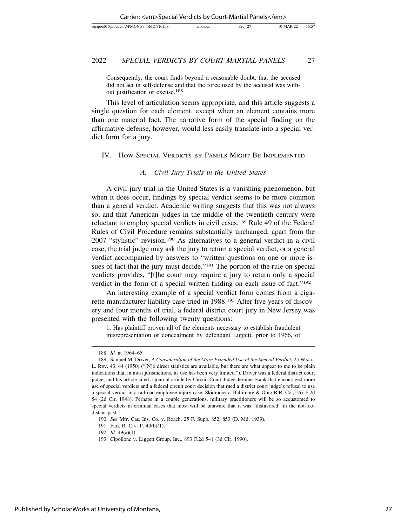Consequently, the court finds beyond a reasonable doubt, that the accused did not act in self-defense and that the force used by the accused was without justification or excuse.188

This level of articulation seems appropriate, and this article suggests a single question for each element, except when an element contains more than one material fact. The narrative form of the special finding on the affirmative defense, however, would less easily translate into a special verdict form for a jury.

#### IV. HOW SPECIAL VERDICTS BY PANELS MIGHT BE IMPLEMENTED

#### *A. Civil Jury Trials in the United States*

A civil jury trial in the United States is a vanishing phenomenon, but when it does occur, findings by special verdict seems to be more common than a general verdict. Academic writing suggests that this was not always so, and that American judges in the middle of the twentieth century were reluctant to employ special verdicts in civil cases.189 Rule 49 of the Federal Rules of Civil Procedure remains substantially unchanged, apart from the 2007 "stylistic" revision.190 As alternatives to a general verdict in a civil case, the trial judge may ask the jury to return a special verdict, or a general verdict accompanied by answers to "written questions on one or more issues of fact that the jury must decide."<sup>191</sup> The portion of the rule on special verdicts provides, "[t]he court may require a jury to return only a special verdict in the form of a special written finding on each issue of fact."192

An interesting example of a special verdict form comes from a cigarette manufacturer liability case tried in 1988.<sup>193</sup> After five years of discovery and four months of trial, a federal district court jury in New Jersey was presented with the following twenty questions:

1. Has plaintiff proven all of the elements necessary to establish fraudulent misrepresentation or concealment by defendant Liggett, prior to 1966, of

<sup>188.</sup> *Id.* at 1964–65.

<sup>189.</sup> Samuel M. Driver, *A Consideration of the More Extended Use of the Special Verdict*, 25 WASH. L. REV. 43, 44 (1950) ("[N]o direct statistics are available, but there are what appear to me to be plain indications that, in most jurisdictions, its use has been very limited."). Driver was a federal district court judge, and his article cited a journal article by Circuit Court Judge Jerome Frank that encouraged more use of special verdicts and a federal circuit court decision that rued a district court judge's refusal to use a special verdict in a railroad employee injury case, Skidmore v. Baltimore & Ohio R.R. Co., 167 F.2d 54 (2d Cir. 1948). Perhaps in a couple generations, military practitioners will be so accustomed to special verdicts in criminal cases that most will be unaware that it was "disfavored" in the not-toodistant past.

<sup>190.</sup> *See* Mfr. Cas. Ins. Co. v. Roach, 25 F. Supp. 852, 853 (D. Md. 1939).

<sup>191.</sup> FED. R. CIV. P. 49(b)(1).

<sup>192.</sup> *Id.* 49(a)(1).

<sup>193.</sup> Cipollone v. Liggett Group, Inc., 893 F.2d 541 (3d Cir. 1990).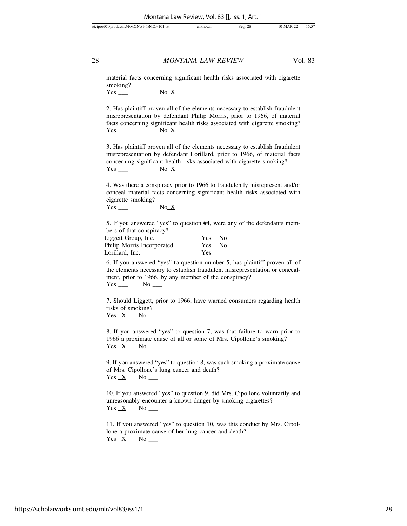material facts concerning significant health risks associated with cigarette smoking?

Yes No X

2. Has plaintiff proven all of the elements necessary to establish fraudulent misrepresentation by defendant Philip Morris, prior to 1966, of material facts concerning significant health risks associated with cigarette smoking?  $Yes \_\_\_$  No  $X$ 

3. Has plaintiff proven all of the elements necessary to establish fraudulent misrepresentation by defendant Lorillard, prior to 1966, of material facts concerning significant health risks associated with cigarette smoking?  $Yes \_\_\_$  No  $X$ 

4. Was there a conspiracy prior to 1966 to fraudulently misrepresent and/or conceal material facts concerning significant health risks associated with cigarette smoking?

 $Yes \_\_\_$  No  $X$ 

5. If you answered "yes" to question #4, were any of the defendants members of that conspiracy?

| Liggett Group, Inc.        | Yes   | - No |
|----------------------------|-------|------|
| Philip Morris Incorporated | Yes - | - No |
| Lorillard, Inc.            | Yes   |      |

6. If you answered "yes" to question number 5, has plaintiff proven all of the elements necessary to establish fraudulent misrepresentation or concealment, prior to 1966, by any member of the conspiracy?  $Yes \_\_$  No  $\_\_$ 

7. Should Liggett, prior to 1966, have warned consumers regarding health risks of smoking?

Yes X No

8. If you answered "yes" to question 7, was that failure to warn prior to 1966 a proximate cause of all or some of Mrs. Cipollone's smoking?  $Yes \underline{X}$  No  $\underline{\phantom{X}}$ 

9. If you answered "yes" to question 8, was such smoking a proximate cause of Mrs. Cipollone's lung cancer and death?  $Yes \; X \; No \; \_$ 

10. If you answered "yes" to question 9, did Mrs. Cipollone voluntarily and unreasonably encounter a known danger by smoking cigarettes?  $Yes \; X \; No \; \_$ 

11. If you answered "yes" to question 10, was this conduct by Mrs. Cipollone a proximate cause of her lung cancer and death?  $Yes \; X \quad No \; \_$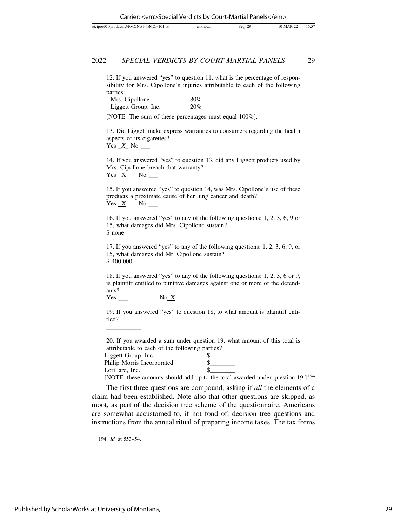12. If you answered "yes" to question 11, what is the percentage of responsibility for Mrs. Cipollone's injuries attributable to each of the following parties:

| Mrs. Cipollone      | $80\%$ |
|---------------------|--------|
| Liggett Group, Inc. | 20%    |

[NOTE: The sum of these percentages must equal 100%].

13. Did Liggett make express warranties to consumers regarding the health aspects of its cigarettes?

Yes \_*X*\_ No \_\_\_

14. If you answered "yes" to question 13, did any Liggett products used by Mrs. Cipollone breach that warranty?  $Yes \_X$  No  $\_\_$ 

15. If you answered "yes" to question 14, was Mrs. Cipollone's use of these products a proximate cause of her lung cancer and death?  $Yes \; X \; No \; \square$ 

16. If you answered "yes" to any of the following questions: 1, 2, 3, 6, 9 or 15, what damages did Mrs. Cipollone sustain? \$ none

17. If you answered "yes" to any of the following questions: 1, 2, 3, 6, 9, or 15, what damages did Mr. Cipollone sustain? \$ 400,000

18. If you answered "yes" to any of the following questions: 1, 2, 3, 6 or 9, is plaintiff entitled to punitive damages against one or more of the defendants?

Yes No X

\_\_\_\_\_\_\_\_\_\_\_

19. If you answered "yes" to question 18, to what amount is plaintiff entitled?

20. If you awarded a sum under question 19, what amount of this total is attributable to each of the following parties?

Liggett Group, Inc. Philip Morris Incorporated Lorillard, Inc.



[NOTE: these amounts should add up to the total awarded under question 19.]194

The first three questions are compound, asking if *all* the elements of a claim had been established. Note also that other questions are skipped, as moot, as part of the decision tree scheme of the questionnaire. Americans are somewhat accustomed to, if not fond of, decision tree questions and instructions from the annual ritual of preparing income taxes. The tax forms

<sup>194.</sup> *Id.* at 553–54.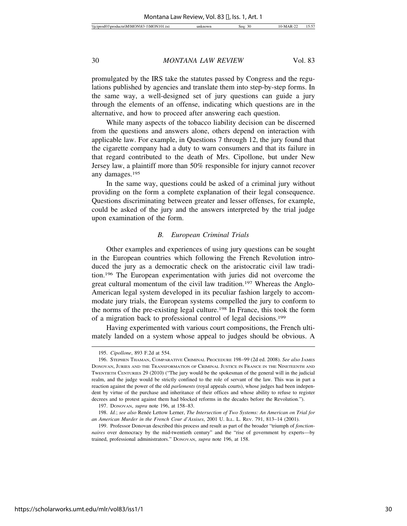promulgated by the IRS take the statutes passed by Congress and the regulations published by agencies and translate them into step-by-step forms. In the same way, a well-designed set of jury questions can guide a jury through the elements of an offense, indicating which questions are in the alternative, and how to proceed after answering each question.

While many aspects of the tobacco liability decision can be discerned from the questions and answers alone, others depend on interaction with applicable law. For example, in Questions 7 through 12, the jury found that the cigarette company had a duty to warn consumers and that its failure in that regard contributed to the death of Mrs. Cipollone, but under New Jersey law, a plaintiff more than 50% responsible for injury cannot recover any damages.195

In the same way, questions could be asked of a criminal jury without providing on the form a complete explanation of their legal consequence. Questions discriminating between greater and lesser offenses, for example, could be asked of the jury and the answers interpreted by the trial judge upon examination of the form.

#### *B. European Criminal Trials*

Other examples and experiences of using jury questions can be sought in the European countries which following the French Revolution introduced the jury as a democratic check on the aristocratic civil law tradition.196 The European experimentation with juries did not overcome the great cultural momentum of the civil law tradition.<sup>197</sup> Whereas the Anglo-American legal system developed in its peculiar fashion largely to accommodate jury trials, the European systems compelled the jury to conform to the norms of the pre-existing legal culture.198 In France, this took the form of a migration back to professional control of legal decisions.199

Having experimented with various court compositions, the French ultimately landed on a system whose appeal to judges should be obvious. A

<sup>195.</sup> *Cipollone*, 893 F.2d at 554.

<sup>196.</sup> STEPHEN THAMAN, COMPARATIVE CRIMINAL PROCEDURE 198–99 (2d ed. 2008). *See also* JAMES DONOVAN, JURIES AND THE TRANSFORMATION OF CRIMINAL JUSTICE IN FRANCE IN THE NINETEENTH AND TWENTIETH CENTURIES 29 (2010) ("The jury would be the spokesman of the general will in the judicial realm, and the judge would be strictly confined to the role of servant of the law. This was in part a reaction against the power of the old *parlements* (royal appeals courts), whose judges had been independent by virtue of the purchase and inheritance of their offices and whose ability to refuse to register decrees and to protest against them had blocked reforms in the decades before the Revolution.").

<sup>197.</sup> DONOVAN, *supra* note 196, at 158–83.

<sup>198.</sup> Id.; see also Renée Lettow Lerner, *The Intersection of Two Systems: An American on Trial for an American Murder in the French Cour d'Assises*, 2001 U. ILL. L. REV. 791, 813–14 (2001).

<sup>199.</sup> Professor Donovan described this process and result as part of the broader "triumph of *fonctionnaires* over democracy by the mid-twentieth century" and the "rise of government by experts—by trained, professional administrators." DONOVAN, *supra* note 196, at 158.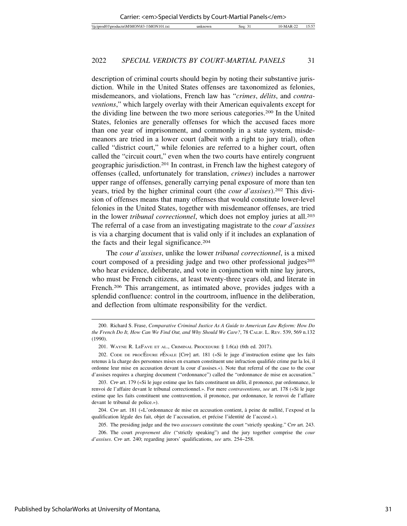description of criminal courts should begin by noting their substantive jurisdiction. While in the United States offenses are taxonomized as felonies, misdemeanors, and violations, French law has "*crimes*, *délits*, and *contraventions*," which largely overlay with their American equivalents except for the dividing line between the two more serious categories.200 In the United States, felonies are generally offenses for which the accused faces more than one year of imprisonment, and commonly in a state system, misdemeanors are tried in a lower court (albeit with a right to jury trial), often called "district court," while felonies are referred to a higher court, often called the "circuit court," even when the two courts have entirely congruent geographic jurisdiction.201 In contrast, in French law the highest category of offenses (called, unfortunately for translation, *crimes*) includes a narrower upper range of offenses, generally carrying penal exposure of more than ten years, tried by the higher criminal court (the *cour d'assises*).202 This division of offenses means that many offenses that would constitute lower-level felonies in the United States, together with misdemeanor offenses, are tried in the lower *tribunal correctionnel*, which does not employ juries at all.203 The referral of a case from an investigating magistrate to the *cour d'assises* is via a charging document that is valid only if it includes an explanation of the facts and their legal significance.204

The *cour d'assises*, unlike the lower *tribunal correctionnel*, is a mixed court composed of a presiding judge and two other professional judges<sup>205</sup> who hear evidence, deliberate, and vote in conjunction with nine lay jurors, who must be French citizens, at least twenty-three years old, and literate in French.<sup>206</sup> This arrangement, as intimated above, provides judges with a splendid confluence: control in the courtroom, influence in the deliberation, and deflection from ultimate responsibility for the verdict.

<sup>200.</sup> Richard S. Frase, *Comparative Criminal Justice As A Guide to American Law Reform: How Do the French Do It, How Can We Find Out, and Why Should We Care?*, 78 CALIF. L. REV. 539, 569 n.132 (1990).

<sup>201.</sup> WAYNE R. LEFAVE ET AL., CRIMINAL PROCEDURE § 1.6(a) (6th ed. 2017).

<sup>202.</sup> CODE DE PROCÉDURE PÉNALE  $[CPP]$  art. 181 («Si le juge d'instruction estime que les faits retenus à la charge des personnes mises en examen constituent une infraction qualifiée crime par la loi, il ordonne leur mise en accusation devant la cour d'assises.«). Note that referral of the case to the cour d'assises requires a charging document ("ordonnance") called the "ordonnance de mise en accusation."

<sup>203.</sup> CPP art. 179 («Si le juge estime que les faits constituent un délit, il prononce, par ordonnance, le renvoi de l'affaire devant le tribunal correctionnel.». For mere *contraventions*, *see* art. 178 («Si le juge estime que les faits constituent une contravention, il prononce, par ordonnance, le renvoi de l'affaire devant le tribunal de police.»).

<sup>204.</sup> CPP art. 181 («L'ordonnance de mise en accusation contient, à peine de nullité, l'exposé et la qualification légale des fait, objet de l'accusation, et précise l'identité de l'accusé.»).

<sup>205.</sup> The presiding judge and the two *assessurs* constitute the court "strictly speaking." CPP art. 243.

<sup>206.</sup> The court *proprement dite* ("strictly speaking") and the jury together comprise the *cour d'assises*. CPP art. 240; regarding jurors' qualifications, *see* arts. 254–258.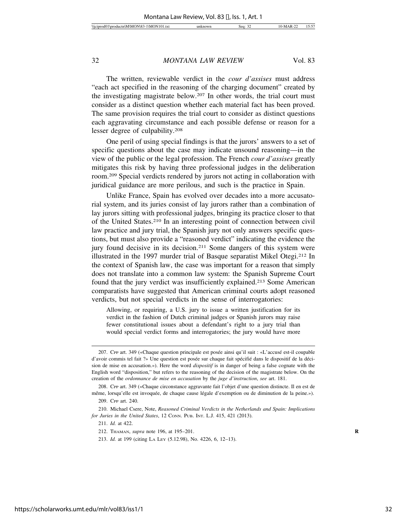The written, reviewable verdict in the *cour d'assises* must address "each act specified in the reasoning of the charging document" created by the investigating magistrate below.207 In other words, the trial court must consider as a distinct question whether each material fact has been proved. The same provision requires the trial court to consider as distinct questions each aggravating circumstance and each possible defense or reason for a lesser degree of culpability.208

One peril of using special findings is that the jurors' answers to a set of specific questions about the case may indicate unsound reasoning—in the view of the public or the legal profession. The French *cour d'assises* greatly mitigates this risk by having three professional judges in the deliberation room.209 Special verdicts rendered by jurors not acting in collaboration with juridical guidance are more perilous, and such is the practice in Spain.

Unlike France, Spain has evolved over decades into a more accusatorial system, and its juries consist of lay jurors rather than a combination of lay jurors sitting with professional judges, bringing its practice closer to that of the United States.210 In an interesting point of connection between civil law practice and jury trial, the Spanish jury not only answers specific questions, but must also provide a "reasoned verdict" indicating the evidence the jury found decisive in its decision.211 Some dangers of this system were illustrated in the 1997 murder trial of Basque separatist Mikel Otegi.212 In the context of Spanish law, the case was important for a reason that simply does not translate into a common law system: the Spanish Supreme Court found that the jury verdict was insufficiently explained.213 Some American comparatists have suggested that American criminal courts adopt reasoned verdicts, but not special verdicts in the sense of interrogatories:

Allowing, or requiring, a U.S. jury to issue a written justification for its verdict in the fashion of Dutch criminal judges or Spanish jurors may raise fewer constitutional issues about a defendant's right to a jury trial than would special verdict forms and interrogatories; the jury would have more

<sup>207.</sup> CPP art. 349 («Chaque question principale est posée ainsi qu'il suit : «L'accusé est-il coupable d'avoir commis tel fait ?» Une question est posée sur chaque fait spécifié dans le dispositif de la décision de mise en accusation.»). Here the word *dispositif* is in danger of being a false cognate with the English word "disposition," but refers to the reasoning of the decision of the magistrate below. On the creation of the *ordonnance de mise en accusation* by the *juge d'instruction*, *see* art. 181.

<sup>208.</sup> CPP art. 349 («Chaque circonstance aggravante fait l'objet d'une question distincte. Il en est de même, lorsqu'elle est invoquée, de chaque cause légale d'exemption ou de diminution de la peine.»).

<sup>209.</sup> CPP art. 240.

<sup>210.</sup> Michael Csere, Note, *Reasoned Criminal Verdicts in the Netherlands and Spain: Implications for Juries in the United States*, 12 CONN. PUB. INT. L.J. 415, 421 (2013).

<sup>211.</sup> *Id.* at 422.

<sup>212.</sup> THAMAN, *supra* note 196, at 195–201. **R**

<sup>213.</sup> *Id.* at 199 (citing LA LEY (5.12.98), No. 4226, 6, 12–13).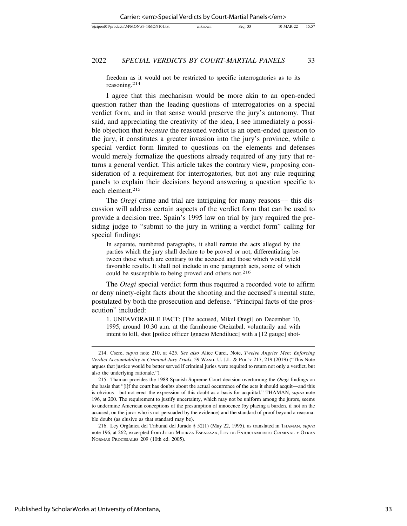freedom as it would not be restricted to specific interrogatories as to its reasoning.214

I agree that this mechanism would be more akin to an open-ended question rather than the leading questions of interrogatories on a special verdict form, and in that sense would preserve the jury's autonomy. That said, and appreciating the creativity of the idea, I see immediately a possible objection that *because* the reasoned verdict is an open-ended question to the jury, it constitutes a greater invasion into the jury's province, while a special verdict form limited to questions on the elements and defenses would merely formalize the questions already required of any jury that returns a general verdict. This article takes the contrary view, proposing consideration of a requirement for interrogatories, but not any rule requiring panels to explain their decisions beyond answering a question specific to each element.<sup>215</sup>

The *Otegi* crime and trial are intriguing for many reasons— this discussion will address certain aspects of the verdict form that can be used to provide a decision tree. Spain's 1995 law on trial by jury required the presiding judge to "submit to the jury in writing a verdict form" calling for special findings:

In separate, numbered paragraphs, it shall narrate the acts alleged by the parties which the jury shall declare to be proved or not, differentiating between those which are contrary to the accused and those which would yield favorable results. It shall not include in one paragraph acts, some of which could be susceptible to being proved and others not.<sup>216</sup>

The *Otegi* special verdict form thus required a recorded vote to affirm or deny ninety-eight facts about the shooting and the accused's mental state, postulated by both the prosecution and defense. "Principal facts of the prosecution" included:

1. UNFAVORABLE FACT: [The accused, Mikel Otegi] on December 10, 1995, around 10:30 a.m. at the farmhouse Oteizabal, voluntarily and with intent to kill, shot [police officer Ignacio Mendiluce] with a [12 gauge] shot-

216. Ley Org´anica del Tribunal del Jurado § 52(1) (May 22, 1995), as translated in THAMAN, *supra* note 196, at 262, excerpted from JULIO MUERZA ESPARAZA, LEY DE ENJUICIAMIENTO CRIMINAL Y OTRAS NORMAS PROCESALES 209 (10th ed. 2005).

<sup>214.</sup> Csere, *supra* note 210, at 425. *See also* Alice Curci, Note, *Twelve Angrier Men: Enforcing Verdict Accountability in Criminal Jury Trials*, 59 WASH. U. J.L. & POL'Y 217, 219 (2019) ("This Note argues that justice would be better served if criminal juries were required to return not only a verdict, but also the underlying rationale.").

<sup>215.</sup> Thaman provides the 1988 Spanish Supreme Court decision overturning the *Otegi* findings on the basis that "[i]f the court has doubts about the actual occurrence of the acts it should acquit—and this is obvious—but not erect the expression of this doubt as a basis for acquittal." THAMAN, *supra* note 196, at 200. The requirement to justify uncertainty, which may not be uniform among the jurors, seems to undermine American conceptions of the presumption of innocence (by placing a burden, if not on the accused, on the juror who is not persuaded by the evidence) and the standard of proof beyond a reasonable doubt (as elusive as that standard may be).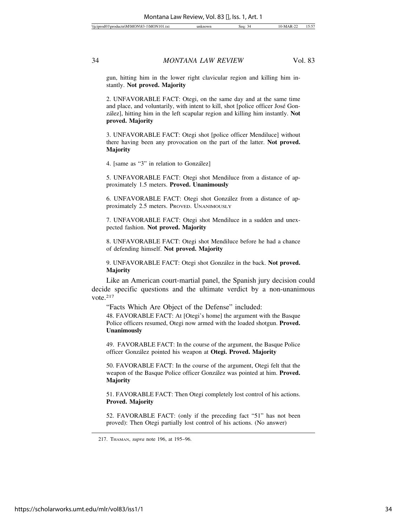gun, hitting him in the lower right clavicular region and killing him instantly. **Not proved. Majority**

2. UNFAVORABLE FACT: Otegi, on the same day and at the same time and place, and voluntarily, with intent to kill, shot [police officer José Gonz´alez], hitting him in the left scapular region and killing him instantly. **Not proved. Majority**

3. UNFAVORABLE FACT: Otegi shot [police officer Mendiluce] without there having been any provocation on the part of the latter. **Not proved. Majority**

4. [same as "3" in relation to González]

5. UNFAVORABLE FACT: Otegi shot Mendiluce from a distance of approximately 1.5 meters. **Proved. Unanimously**

6. UNFAVORABLE FACT: Otegi shot González from a distance of approximately 2.5 meters. PROVED. UNANIMOUSLY

7. UNFAVORABLE FACT: Otegi shot Mendiluce in a sudden and unexpected fashion. **Not proved. Majority**

8. UNFAVORABLE FACT: Otegi shot Mendiluce before he had a chance of defending himself. **Not proved. Majority**

9. UNFAVORABLE FACT: Otegi shot González in the back. Not proved. **Majority**

Like an American court-martial panel, the Spanish jury decision could decide specific questions and the ultimate verdict by a non-unanimous vote.217

"Facts Which Are Object of the Defense" included:

48. FAVORABLE FACT: At [Otegi's home] the argument with the Basque Police officers resumed, Otegi now armed with the loaded shotgun. **Proved. Unanimously**

49. FAVORABLE FACT: In the course of the argument, the Basque Police officer Gonz´alez pointed his weapon at **Otegi. Proved. Majority**

50. FAVORABLE FACT: In the course of the argument, Otegi felt that the weapon of the Basque Police officer González was pointed at him. **Proved. Majority**

51. FAVORABLE FACT: Then Otegi completely lost control of his actions. **Proved. Majority**

52. FAVORABLE FACT: (only if the preceding fact "51" has not been proved): Then Otegi partially lost control of his actions. (No answer)

<sup>217.</sup> THAMAN, *supra* note 196, at 195–96.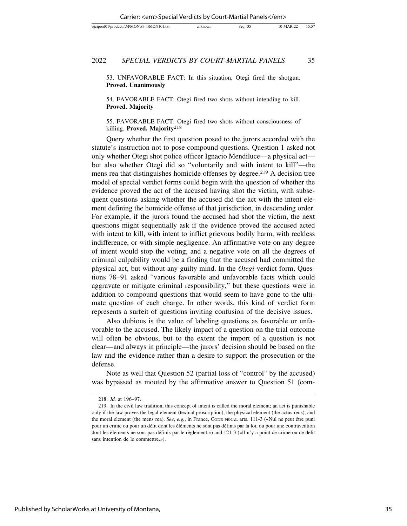53. UNFAVORABLE FACT: In this situation, Otegi fired the shotgun. **Proved. Unanimously**

54. FAVORABLE FACT: Otegi fired two shots without intending to kill. **Proved. Majority**

55. FAVORABLE FACT: Otegi fired two shots without consciousness of killing. **Proved. Majority**218

Query whether the first question posed to the jurors accorded with the statute's instruction not to pose compound questions. Question 1 asked not only whether Otegi shot police officer Ignacio Mendiluce—a physical act but also whether Otegi did so "voluntarily and with intent to kill"—the mens rea that distinguishes homicide offenses by degree.<sup>219</sup> A decision tree model of special verdict forms could begin with the question of whether the evidence proved the act of the accused having shot the victim, with subsequent questions asking whether the accused did the act with the intent element defining the homicide offense of that jurisdiction, in descending order. For example, if the jurors found the accused had shot the victim, the next questions might sequentially ask if the evidence proved the accused acted with intent to kill, with intent to inflict grievous bodily harm, with reckless indifference, or with simple negligence. An affirmative vote on any degree of intent would stop the voting, and a negative vote on all the degrees of criminal culpability would be a finding that the accused had committed the physical act, but without any guilty mind. In the *Otegi* verdict form, Questions 78–91 asked "various favorable and unfavorable facts which could aggravate or mitigate criminal responsibility," but these questions were in addition to compound questions that would seem to have gone to the ultimate question of each charge. In other words, this kind of verdict form represents a surfeit of questions inviting confusion of the decisive issues.

Also dubious is the value of labeling questions as favorable or unfavorable to the accused. The likely impact of a question on the trial outcome will often be obvious, but to the extent the import of a question is not clear—and always in principle—the jurors' decision should be based on the law and the evidence rather than a desire to support the prosecution or the defense.

Note as well that Question 52 (partial loss of "control" by the accused) was bypassed as mooted by the affirmative answer to Question 51 (com-

<sup>218.</sup> *Id.* at 196–97.

<sup>219.</sup> In the civil law tradition, this concept of intent is called the moral element; an act is punishable only if the law proves the legal element (textual proscription), the physical element (the actus reus), and the moral element (the mens rea). *See*, *e.g.*, in France, CODE PÉNAL arts. 111-3 («Nul ne peut être puni pour un crime ou pour un délit dont les éléments ne sont pas définis par la loi, ou pour une contravention dont les éléments ne sont pas définis par le règlement.») and 121-3 («Il n'y a point de crime ou de délit sans intention de le commettre.»).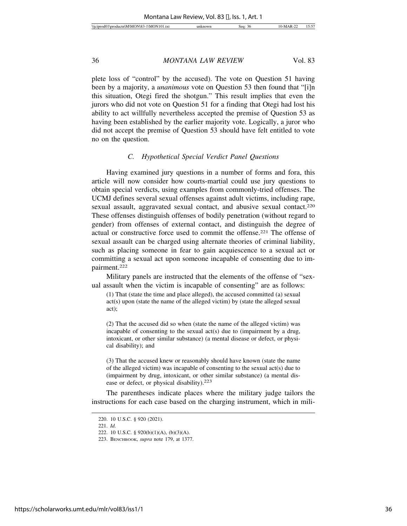plete loss of "control" by the accused). The vote on Question 51 having been by a majority, a *unanimous* vote on Question 53 then found that "[i]n this situation, Otegi fired the shotgun." This result implies that even the jurors who did not vote on Question 51 for a finding that Otegi had lost his ability to act willfully nevertheless accepted the premise of Question 53 as having been established by the earlier majority vote. Logically, a juror who did not accept the premise of Question 53 should have felt entitled to vote no on the question.

## *C. Hypothetical Special Verdict Panel Questions*

Having examined jury questions in a number of forms and fora, this article will now consider how courts-martial could use jury questions to obtain special verdicts, using examples from commonly-tried offenses. The UCMJ defines several sexual offenses against adult victims, including rape, sexual assault, aggravated sexual contact, and abusive sexual contact.220 These offenses distinguish offenses of bodily penetration (without regard to gender) from offenses of external contact, and distinguish the degree of actual or constructive force used to commit the offense.221 The offense of sexual assault can be charged using alternate theories of criminal liability, such as placing someone in fear to gain acquiescence to a sexual act or committing a sexual act upon someone incapable of consenting due to impairment.222

Military panels are instructed that the elements of the offense of "sexual assault when the victim is incapable of consenting" are as follows:

(1) That (state the time and place alleged), the accused committed (a) sexual act(s) upon (state the name of the alleged victim) by (state the alleged sexual act);

(2) That the accused did so when (state the name of the alleged victim) was incapable of consenting to the sexual act(s) due to (impairment by a drug, intoxicant, or other similar substance) (a mental disease or defect, or physical disability); and

(3) That the accused knew or reasonably should have known (state the name of the alleged victim) was incapable of consenting to the sexual act(s) due to (impairment by drug, intoxicant, or other similar substance) (a mental disease or defect, or physical disability).223

The parentheses indicate places where the military judge tailors the instructions for each case based on the charging instrument, which in mili-

<sup>220. 10</sup> U.S.C. § 920 (2021).

<sup>221.</sup> *Id.*

<sup>222. 10</sup> U.S.C. § 920(b)(1)(A), (b)(3)(A).

<sup>223.</sup> BENCHBOOK, *supra* note 179, at 1377.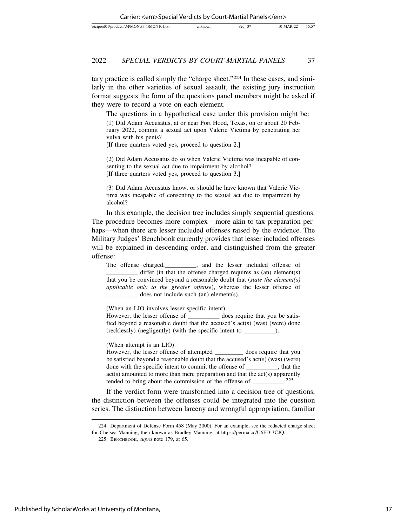tary practice is called simply the "charge sheet."224 In these cases, and similarly in the other varieties of sexual assault, the existing jury instruction format suggests the form of the questions panel members might be asked if they were to record a vote on each element.

The questions in a hypothetical case under this provision might be:

(1) Did Adam Accusatus, at or near Fort Hood, Texas, on or about 20 February 2022, commit a sexual act upon Valerie Victima by penetrating her vulva with his penis?

[If three quarters voted yes, proceed to question 2.]

(2) Did Adam Accusatus do so when Valerie Victima was incapable of consenting to the sexual act due to impairment by alcohol? [If three quarters voted yes, proceed to question 3.]

(3) Did Adam Accusatus know, or should he have known that Valerie Victima was incapable of consenting to the sexual act due to impairment by alcohol?

In this example, the decision tree includes simply sequential questions. The procedure becomes more complex—more akin to tax preparation perhaps—when there are lesser included offenses raised by the evidence. The Military Judges' Benchbook currently provides that lesser included offenses will be explained in descending order, and distinguished from the greater offense:

The offense charged,\_\_\_\_\_\_\_\_\_\_, and the lesser included offense of  $\equiv$  differ (in that the offense charged requires as (an) element(s) that you be convinced beyond a reasonable doubt that (*state the element(s) applicable only to the greater offense*), whereas the lesser offense of \_\_\_\_\_\_\_\_\_\_ does not include such (an) element(s).

(When an LIO involves lesser specific intent)

However, the lesser offense of \_\_\_\_\_\_\_\_\_\_\_\_ does require that you be satisfied beyond a reasonable doubt that the accused's act(s) (was) (were) done (recklessly) (negligently) (with the specific intent to \_\_\_\_\_\_\_\_\_\_).

(When attempt is an LIO)

However, the lesser offense of attempted \_\_\_\_\_\_\_\_\_ does require that you be satisfied beyond a reasonable doubt that the accused's act(s) (was) (were) done with the specific intent to commit the offense of that the act(s) amounted to more than mere preparation and that the act(s) apparently tended to bring about the commission of the offense of  $225$ tended to bring about the commission of the offense of  $\_\_$ 

If the verdict form were transformed into a decision tree of questions, the distinction between the offenses could be integrated into the question series. The distinction between larceny and wrongful appropriation, familiar

<sup>224.</sup> Department of Defense Form 458 (May 2000). For an example, see the redacted charge sheet for Chelsea Manning, then known as Bradley Manning, at https://perma.cc/U6FD-3CJQ.

<sup>225.</sup> BENCHBOOK, *supra* note 179, at 65.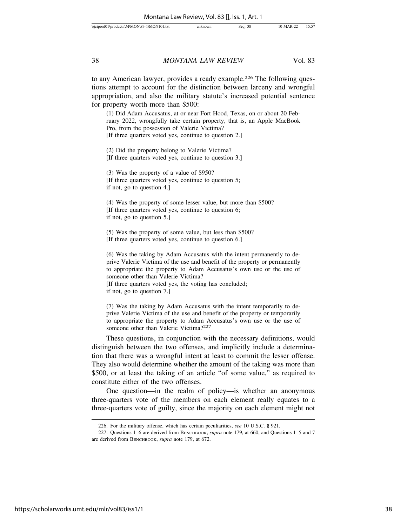to any American lawyer, provides a ready example.226 The following questions attempt to account for the distinction between larceny and wrongful appropriation, and also the military statute's increased potential sentence for property worth more than \$500:

(1) Did Adam Accusatus, at or near Fort Hood, Texas, on or about 20 February 2022, wrongfully take certain property, that is, an Apple MacBook Pro, from the possession of Valerie Victima? [If three quarters voted yes, continue to question 2.]

(2) Did the property belong to Valerie Victima? [If three quarters voted yes, continue to question 3.]

(3) Was the property of a value of \$950? [If three quarters voted yes, continue to question 5; if not, go to question 4.]

(4) Was the property of some lesser value, but more than \$500? [If three quarters voted yes, continue to question 6; if not, go to question 5.]

(5) Was the property of some value, but less than \$500? [If three quarters voted yes, continue to question 6.]

(6) Was the taking by Adam Accusatus with the intent permanently to deprive Valerie Victima of the use and benefit of the property or permanently to appropriate the property to Adam Accusatus's own use or the use of someone other than Valerie Victima? [If three quarters voted yes, the voting has concluded; if not, go to question 7.]

(7) Was the taking by Adam Accusatus with the intent temporarily to deprive Valerie Victima of the use and benefit of the property or temporarily to appropriate the property to Adam Accusatus's own use or the use of someone other than Valerie Victima?227

These questions, in conjunction with the necessary definitions, would distinguish between the two offenses, and implicitly include a determination that there was a wrongful intent at least to commit the lesser offense. They also would determine whether the amount of the taking was more than \$500, or at least the taking of an article "of some value," as required to constitute either of the two offenses.

One question—in the realm of policy—is whether an anonymous three-quarters vote of the members on each element really equates to a three-quarters vote of guilty, since the majority on each element might not

<sup>226.</sup> For the military offense, which has certain peculiarities, *see* 10 U.S.C. § 921.

<sup>227.</sup> Questions 1–6 are derived from BENCHBOOK, *supra* note 179, at 660, and Questions 1–5 and 7 are derived from BENCHBOOK, *supra* note 179, at 672.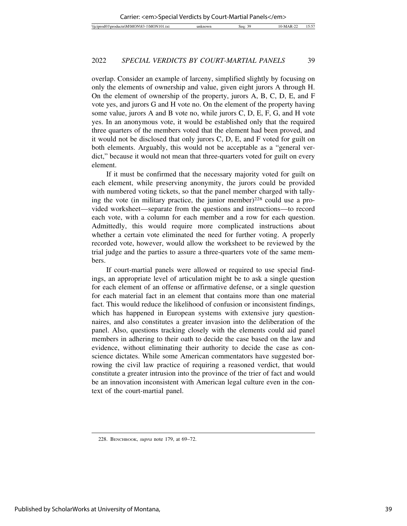overlap. Consider an example of larceny, simplified slightly by focusing on only the elements of ownership and value, given eight jurors A through H. On the element of ownership of the property, jurors A, B, C, D, E, and F vote yes, and jurors G and H vote no. On the element of the property having some value, jurors A and B vote no, while jurors C, D, E, F, G, and H vote yes. In an anonymous vote, it would be established only that the required three quarters of the members voted that the element had been proved, and it would not be disclosed that only jurors C, D, E, and F voted for guilt on both elements. Arguably, this would not be acceptable as a "general verdict," because it would not mean that three-quarters voted for guilt on every element.

If it must be confirmed that the necessary majority voted for guilt on each element, while preserving anonymity, the jurors could be provided with numbered voting tickets, so that the panel member charged with tallying the vote (in military practice, the junior member) $228$  could use a provided worksheet—separate from the questions and instructions—to record each vote, with a column for each member and a row for each question. Admittedly, this would require more complicated instructions about whether a certain vote eliminated the need for further voting. A properly recorded vote, however, would allow the worksheet to be reviewed by the trial judge and the parties to assure a three-quarters vote of the same members.

If court-martial panels were allowed or required to use special findings, an appropriate level of articulation might be to ask a single question for each element of an offense or affirmative defense, or a single question for each material fact in an element that contains more than one material fact. This would reduce the likelihood of confusion or inconsistent findings, which has happened in European systems with extensive jury questionnaires, and also constitutes a greater invasion into the deliberation of the panel. Also, questions tracking closely with the elements could aid panel members in adhering to their oath to decide the case based on the law and evidence, without eliminating their authority to decide the case as conscience dictates. While some American commentators have suggested borrowing the civil law practice of requiring a reasoned verdict, that would constitute a greater intrusion into the province of the trier of fact and would be an innovation inconsistent with American legal culture even in the context of the court-martial panel.

<sup>228.</sup> BENCHBOOK, *supra* note 179, at 69–72.